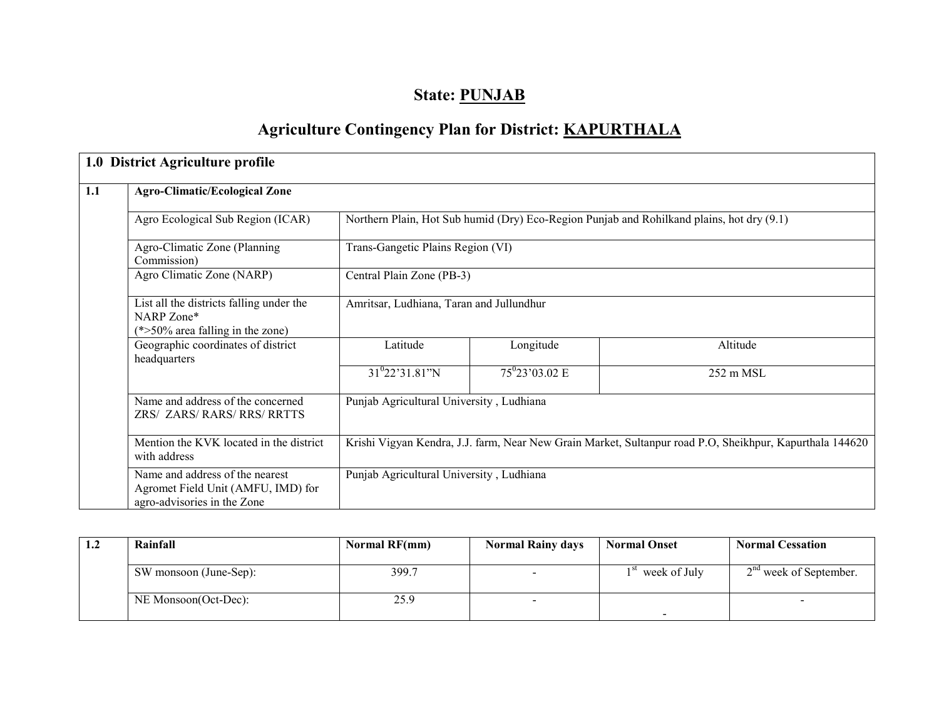# State: PUNJAB

# Agriculture Contingency Plan for District: KAPURTHALA

|     | 1.0 District Agriculture profile                                                                     |                                                                                                          |                                   |           |  |  |  |  |
|-----|------------------------------------------------------------------------------------------------------|----------------------------------------------------------------------------------------------------------|-----------------------------------|-----------|--|--|--|--|
| 1.1 | <b>Agro-Climatic/Ecological Zone</b>                                                                 |                                                                                                          |                                   |           |  |  |  |  |
|     | Agro Ecological Sub Region (ICAR)                                                                    | Northern Plain, Hot Sub humid (Dry) Eco-Region Punjab and Rohilkand plains, hot dry (9.1)                |                                   |           |  |  |  |  |
|     | Agro-Climatic Zone (Planning<br>Commission)                                                          |                                                                                                          | Trans-Gangetic Plains Region (VI) |           |  |  |  |  |
|     | Agro Climatic Zone (NARP)                                                                            | Central Plain Zone (PB-3)                                                                                |                                   |           |  |  |  |  |
|     | List all the districts falling under the<br>NARP Zone*<br>$(*>50\%$ area falling in the zone)        | Amritsar, Ludhiana, Taran and Jullundhur                                                                 |                                   |           |  |  |  |  |
|     | Geographic coordinates of district<br>headquarters                                                   | Latitude                                                                                                 | Longitude                         | Altitude  |  |  |  |  |
|     |                                                                                                      | $31^{0}22'31.81''N$                                                                                      | $75^{\circ}23'03.02 \text{ E}$    | 252 m MSL |  |  |  |  |
|     | Name and address of the concerned<br>ZRS/ ZARS/ RARS/ RRS/ RRTTS                                     | Punjab Agricultural University, Ludhiana                                                                 |                                   |           |  |  |  |  |
|     | Mention the KVK located in the district<br>with address                                              | Krishi Vigyan Kendra, J.J. farm, Near New Grain Market, Sultanpur road P.O. Sheikhpur, Kapurthala 144620 |                                   |           |  |  |  |  |
|     | Name and address of the nearest<br>Agromet Field Unit (AMFU, IMD) for<br>agro-advisories in the Zone | Punjab Agricultural University, Ludhiana                                                                 |                                   |           |  |  |  |  |

| 1.2 | Rainfall               | Normal RF(mm) | <b>Normal Rainy days</b> | <b>Normal Onset</b>          | <b>Normal Cessation</b>  |
|-----|------------------------|---------------|--------------------------|------------------------------|--------------------------|
|     |                        |               |                          |                              |                          |
|     | SW monsoon (June-Sep): | 399.7         |                          | 1 <sup>st</sup> week of July | $2nd$ week of September. |
|     |                        |               |                          |                              |                          |
|     | NE Monsoon(Oct-Dec):   | 25.9          |                          |                              |                          |
|     |                        |               |                          |                              |                          |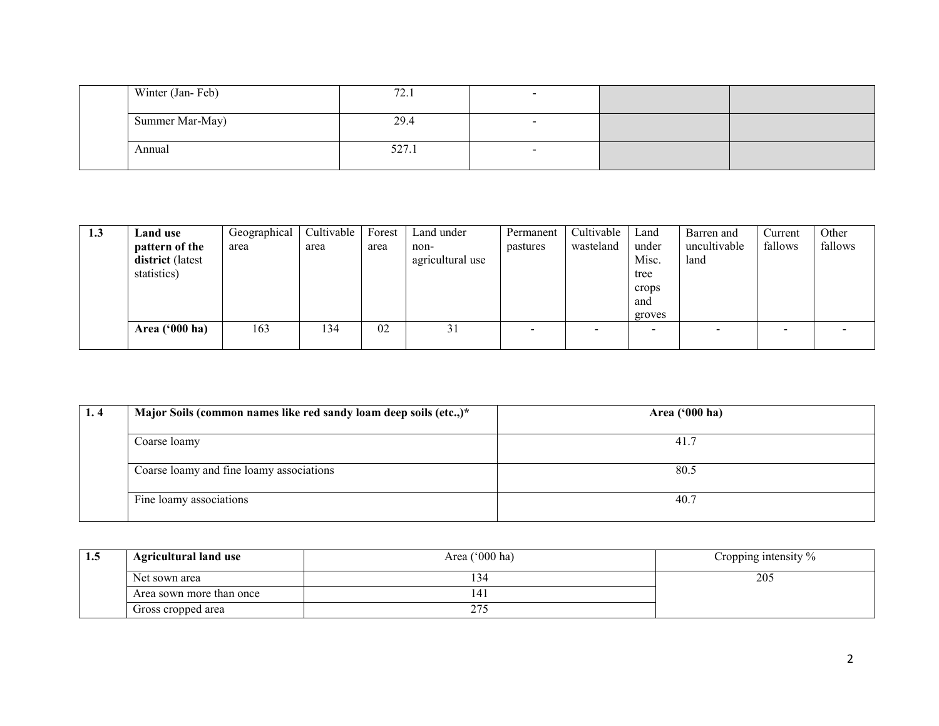|  | Winter (Jan-Feb) | 72.1  |  |  |
|--|------------------|-------|--|--|
|  | Summer Mar-May)  | 29.4  |  |  |
|  | Annual           | 527.1 |  |  |

| 1.3 | Land use                | Geographical | Cultivable | Forest | Land under       | Permanent                | Cultivable               | Land   | Barren and   | Current | Other   |
|-----|-------------------------|--------------|------------|--------|------------------|--------------------------|--------------------------|--------|--------------|---------|---------|
|     | pattern of the          | area         | area       | area   | non-             | pastures                 | wasteland                | under  | uncultivable | fallows | fallows |
|     | district (latest        |              |            |        | agricultural use |                          |                          | Misc.  | land         |         |         |
|     | statistics)             |              |            |        |                  |                          |                          | tree   |              |         |         |
|     |                         |              |            |        |                  |                          |                          | crops  |              |         |         |
|     |                         |              |            |        |                  |                          |                          | and    |              |         |         |
|     |                         |              |            |        |                  |                          |                          | groves |              |         |         |
|     | Area $(900 \text{ ha})$ | 163          | 134        | 02     | 31               | $\overline{\phantom{0}}$ | $\overline{\phantom{0}}$ |        |              |         |         |
|     |                         |              |            |        |                  |                          |                          |        |              |         |         |

| 1.4 | Major Soils (common names like red sandy loam deep soils (etc.,)* | Area ('000 ha) |
|-----|-------------------------------------------------------------------|----------------|
|     | Coarse loamy                                                      | 41.7           |
|     | Coarse loamy and fine loamy associations                          | 80.5           |
|     | Fine loamy associations                                           | 40.7           |

| 1.5 | <b>Agricultural land use</b> | Area ('000 ha)       | Cropping intensity $\%$ |
|-----|------------------------------|----------------------|-------------------------|
|     | Net sown area                | -14                  | 205                     |
|     | Area sown more than once     | 41                   |                         |
|     | Gross cropped area           | $\sim$ $\sim$ $\sim$ |                         |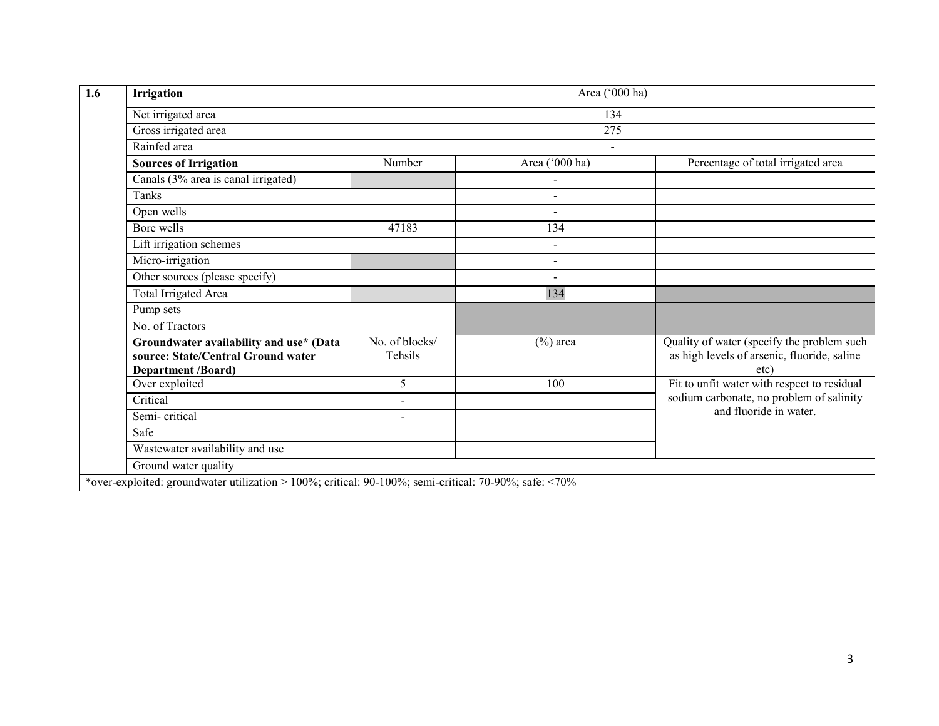| Irrigation                                                                                                 | Area ('000 ha)            |                          |                                                                                                   |  |  |  |  |
|------------------------------------------------------------------------------------------------------------|---------------------------|--------------------------|---------------------------------------------------------------------------------------------------|--|--|--|--|
| Net irrigated area                                                                                         |                           | 134                      |                                                                                                   |  |  |  |  |
| Gross irrigated area                                                                                       | 275                       |                          |                                                                                                   |  |  |  |  |
| Rainfed area                                                                                               |                           | $\sim$                   |                                                                                                   |  |  |  |  |
| <b>Sources of Irrigation</b>                                                                               | Number                    | Area ('000 ha)           | Percentage of total irrigated area                                                                |  |  |  |  |
| Canals (3% area is canal irrigated)                                                                        |                           |                          |                                                                                                   |  |  |  |  |
| Tanks                                                                                                      |                           | $\overline{\phantom{a}}$ |                                                                                                   |  |  |  |  |
| Open wells                                                                                                 |                           | $\sim$                   |                                                                                                   |  |  |  |  |
| Bore wells                                                                                                 | 47183                     | 134                      |                                                                                                   |  |  |  |  |
| Lift irrigation schemes                                                                                    |                           | $\sim$                   |                                                                                                   |  |  |  |  |
| Micro-irrigation                                                                                           |                           | $\sim$                   |                                                                                                   |  |  |  |  |
| Other sources (please specify)                                                                             |                           |                          |                                                                                                   |  |  |  |  |
| <b>Total Irrigated Area</b>                                                                                |                           | 134                      |                                                                                                   |  |  |  |  |
| Pump sets                                                                                                  |                           |                          |                                                                                                   |  |  |  |  |
| No. of Tractors                                                                                            |                           |                          |                                                                                                   |  |  |  |  |
| Groundwater availability and use* (Data<br>source: State/Central Ground water<br><b>Department /Board)</b> | No. of blocks/<br>Tehsils | $(\%)$ area              | Quality of water (specify the problem such<br>as high levels of arsenic, fluoride, saline<br>etc) |  |  |  |  |
| Over exploited                                                                                             | 5                         | 100                      | Fit to unfit water with respect to residual                                                       |  |  |  |  |
| Critical                                                                                                   | $\blacksquare$            |                          | sodium carbonate, no problem of salinity                                                          |  |  |  |  |
| Semi-critical                                                                                              | $\blacksquare$            |                          | and fluoride in water.                                                                            |  |  |  |  |
| Safe                                                                                                       |                           |                          |                                                                                                   |  |  |  |  |
| Wastewater availability and use                                                                            |                           |                          |                                                                                                   |  |  |  |  |
| Ground water quality                                                                                       |                           |                          |                                                                                                   |  |  |  |  |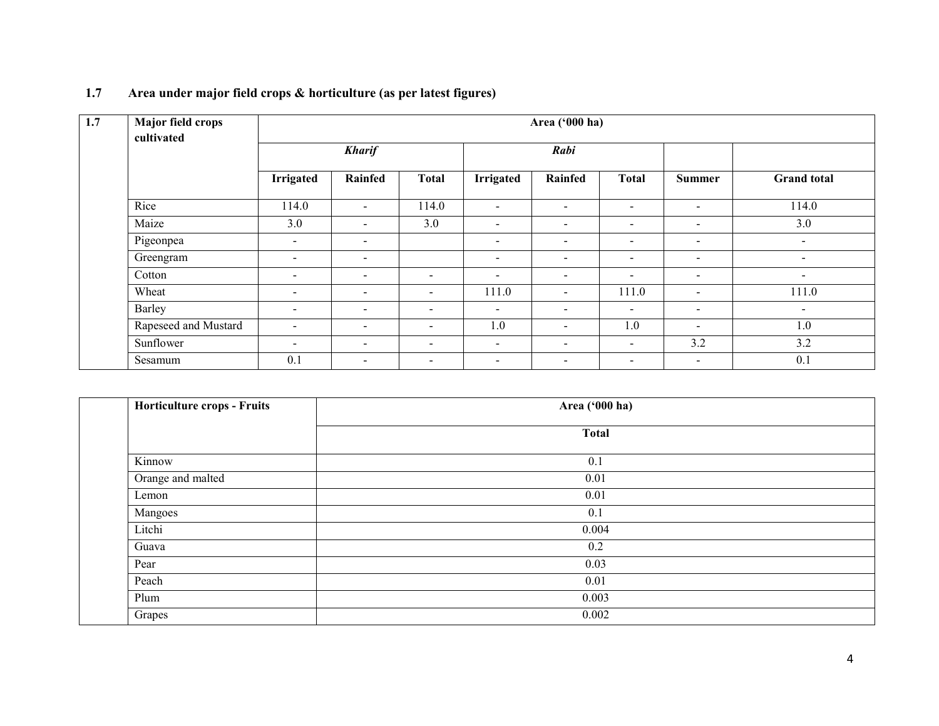| 1.7 | <b>Major field crops</b><br>cultivated | Area ('000 ha)           |                          |                          |                          |                          |                          |                          |                    |  |  |
|-----|----------------------------------------|--------------------------|--------------------------|--------------------------|--------------------------|--------------------------|--------------------------|--------------------------|--------------------|--|--|
|     |                                        | <b>Kharif</b>            |                          |                          | Rabi                     |                          |                          |                          |                    |  |  |
|     |                                        | <b>Irrigated</b>         | Rainfed                  | <b>Total</b>             | <b>Irrigated</b>         | Rainfed                  | <b>Total</b>             | <b>Summer</b>            | <b>Grand</b> total |  |  |
|     | Rice                                   | 114.0                    | $\overline{\phantom{0}}$ | 114.0                    | $\sim$                   | $\blacksquare$           | $\sim$                   | $\sim$                   | 114.0              |  |  |
|     | Maize                                  | 3.0                      | $\blacksquare$           | 3.0                      | $\sim$                   | $\overline{\phantom{a}}$ | $\overline{\phantom{a}}$ | $\sim$                   | 3.0                |  |  |
|     | Pigeonpea                              | $\sim$                   | $\blacksquare$           |                          | $\sim$                   | $\blacksquare$           | $\blacksquare$           | $\sim$                   | $\sim$             |  |  |
|     | Greengram                              | $\overline{\phantom{a}}$ | $\overline{\phantom{a}}$ |                          | $\overline{\phantom{a}}$ | $\overline{\phantom{a}}$ | $\blacksquare$           | $\sim$                   | $\sim$             |  |  |
|     | Cotton                                 | $\sim$                   | $\overline{\phantom{a}}$ | $\overline{\phantom{a}}$ | $\overline{\phantom{a}}$ | $\blacksquare$           | $\overline{\phantom{a}}$ | $\sim$                   | $\sim$             |  |  |
|     | Wheat                                  | $\blacksquare$           | $\overline{\phantom{a}}$ | $\overline{\phantom{a}}$ | 111.0                    | $\overline{\phantom{a}}$ | 111.0                    | $\overline{\phantom{a}}$ | 111.0              |  |  |
|     | Barley                                 | $\blacksquare$           | $\blacksquare$           | $\overline{\phantom{0}}$ | $\sim$                   | $\overline{\phantom{0}}$ | $\sim$                   | $\overline{\phantom{a}}$ | $\sim$             |  |  |
|     | Rapeseed and Mustard                   | $\blacksquare$           | $\overline{\phantom{a}}$ | -                        | 1.0                      | $\overline{\phantom{0}}$ | 1.0                      | $\overline{\phantom{0}}$ | 1.0                |  |  |
|     | Sunflower                              | $\,$                     | $\blacksquare$           | $\overline{\phantom{a}}$ | $\overline{\phantom{a}}$ | $\overline{\phantom{a}}$ | $\blacksquare$           | 3.2                      | 3.2                |  |  |
|     | Sesamum                                | 0.1                      | $\overline{\phantom{a}}$ | $\overline{\phantom{0}}$ | $\blacksquare$           | $\overline{\phantom{a}}$ | $\blacksquare$           | $\sim$                   | 0.1                |  |  |

### 1.7 Area under major field crops & horticulture (as per latest figures)

| Horticulture crops - Fruits | Area ('000 ha) |
|-----------------------------|----------------|
|                             | <b>Total</b>   |
| Kinnow                      | 0.1            |
| Orange and malted           | 0.01           |
| Lemon                       | 0.01           |
| Mangoes                     | 0.1            |
| Litchi                      | 0.004          |
| Guava                       | 0.2            |
| Pear                        | 0.03           |
| Peach                       | 0.01           |
| Plum                        | 0.003          |
| Grapes                      | 0.002          |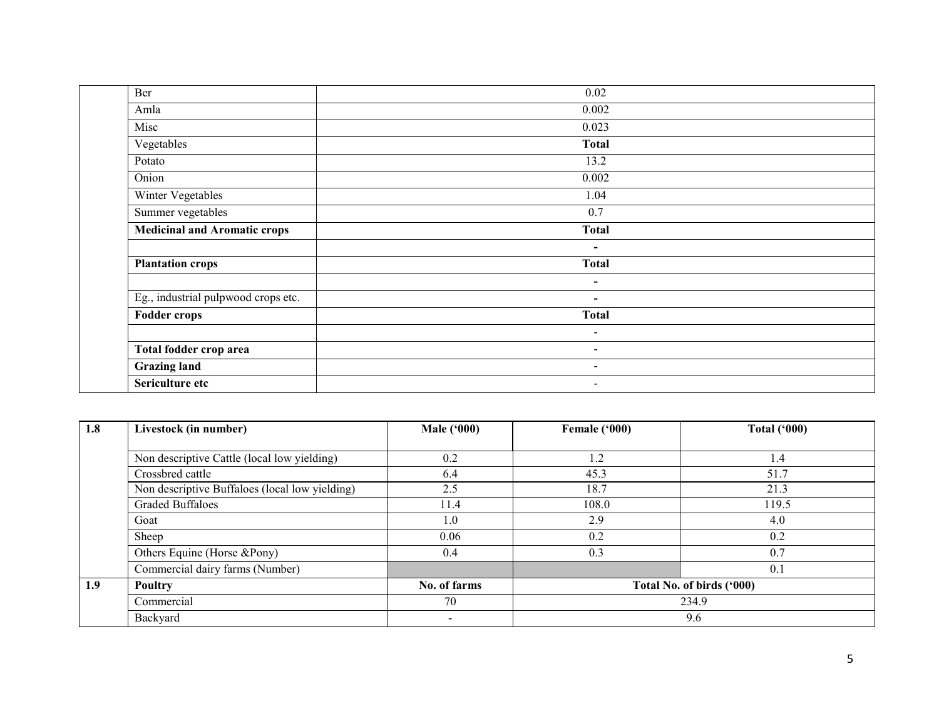| Ber                                 | 0.02           |
|-------------------------------------|----------------|
| Amla                                | 0.002          |
| Misc                                | 0.023          |
| Vegetables                          | <b>Total</b>   |
| Potato                              | 13.2           |
| Onion                               | 0.002          |
| Winter Vegetables                   | 1.04           |
| Summer vegetables                   | 0.7            |
| <b>Medicinal and Aromatic crops</b> | <b>Total</b>   |
|                                     | $\blacksquare$ |
| <b>Plantation crops</b>             | <b>Total</b>   |
|                                     | $\blacksquare$ |
| Eg., industrial pulpwood crops etc. | $\blacksquare$ |
| <b>Fodder crops</b>                 | <b>Total</b>   |
|                                     | $\blacksquare$ |
| Total fodder crop area              | $\sim$         |
| <b>Grazing land</b>                 | $\blacksquare$ |
| Sericulture etc                     | $\blacksquare$ |

| 1.8 | Livestock (in number)                          | <b>Male ('000)</b> | Female ('000) | <b>Total ('000)</b>       |
|-----|------------------------------------------------|--------------------|---------------|---------------------------|
|     |                                                |                    |               |                           |
|     | Non descriptive Cattle (local low yielding)    | 0.2                | 1.2           | 1.4                       |
|     | Crossbred cattle                               | 6.4                | 45.3          | 51.7                      |
|     | Non descriptive Buffaloes (local low yielding) | 2.5                | 18.7          | 21.3                      |
|     | <b>Graded Buffaloes</b>                        | 11.4               | 108.0         | 119.5                     |
|     | Goat                                           | 1.0                | 2.9           | 4.0                       |
|     | Sheep                                          | 0.06               | 0.2           | 0.2                       |
|     | Others Equine (Horse &Pony)                    | 0.4                | 0.3           | 0.7                       |
|     | Commercial dairy farms (Number)                |                    |               | 0.1                       |
| 1.9 | Poultry                                        | No. of farms       |               | Total No. of birds ('000) |
|     | Commercial                                     | 70                 |               | 234.9                     |
|     | Backyard                                       | $\blacksquare$     |               | 9.6                       |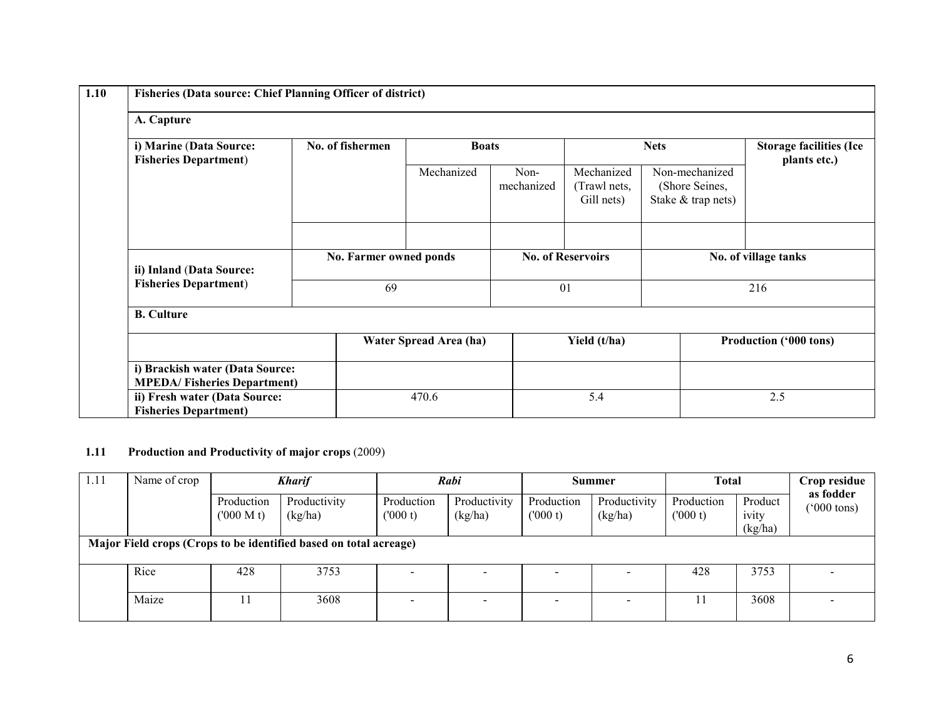| 1.10 | <b>Fisheries (Data source: Chief Planning Officer of district)</b>    |                  |                        |                    |                                          |                                                        |                                                |  |  |  |
|------|-----------------------------------------------------------------------|------------------|------------------------|--------------------|------------------------------------------|--------------------------------------------------------|------------------------------------------------|--|--|--|
|      | A. Capture                                                            |                  |                        |                    |                                          |                                                        |                                                |  |  |  |
|      | i) Marine (Data Source:<br><b>Fisheries Department)</b>               | No. of fishermen | <b>Boats</b>           |                    | <b>Nets</b>                              |                                                        | <b>Storage facilities (Ice</b><br>plants etc.) |  |  |  |
|      |                                                                       |                  | Mechanized             | Non-<br>mechanized | Mechanized<br>(Trawl nets,<br>Gill nets) | Non-mechanized<br>(Shore Seines,<br>Stake & trap nets) |                                                |  |  |  |
|      |                                                                       |                  |                        |                    |                                          |                                                        |                                                |  |  |  |
|      | ii) Inland (Data Source:                                              |                  | No. Farmer owned ponds |                    | <b>No. of Reservoirs</b>                 |                                                        | No. of village tanks                           |  |  |  |
|      | <b>Fisheries Department)</b>                                          |                  | 69                     |                    | 01                                       |                                                        | 216                                            |  |  |  |
|      | <b>B.</b> Culture                                                     |                  |                        |                    |                                          |                                                        |                                                |  |  |  |
|      |                                                                       |                  | Water Spread Area (ha) |                    | Yield (t/ha)                             |                                                        | Production ('000 tons)                         |  |  |  |
|      | i) Brackish water (Data Source:<br><b>MPEDA/Fisheries Department)</b> |                  |                        |                    |                                          |                                                        |                                                |  |  |  |
|      | ii) Fresh water (Data Source:<br><b>Fisheries Department)</b>         |                  | 470.6                  |                    | 5.4                                      |                                                        | 2.5                                            |  |  |  |

#### 1.11 Production and Productivity of major crops (2009)

| 1.11 | Name of crop<br><b>Kharif</b> |                         |                                                                   | Rabi                     |                         | Summer                | <b>Total</b>             |                        | Crop residue                |                                   |
|------|-------------------------------|-------------------------|-------------------------------------------------------------------|--------------------------|-------------------------|-----------------------|--------------------------|------------------------|-----------------------------|-----------------------------------|
|      |                               | Production<br>(000 M t) | Productivity<br>(kg/ha)                                           | Production<br>(000 t)    | Productivity<br>(kg/ha) | Production<br>(000 t) | Productivity<br>(kg/ha)  | Production<br>(1000 t) | Product<br>ivity<br>(kg/ha) | as fodder<br>$^{\prime}000$ tons) |
|      |                               |                         | Major Field crops (Crops to be identified based on total acreage) |                          |                         |                       |                          |                        |                             |                                   |
|      | Rice                          | 428                     | 3753                                                              |                          |                         |                       |                          | 428                    | 3753                        |                                   |
|      | Maize                         |                         | 3608                                                              | $\overline{\phantom{0}}$ |                         |                       | $\overline{\phantom{0}}$ |                        | 3608                        |                                   |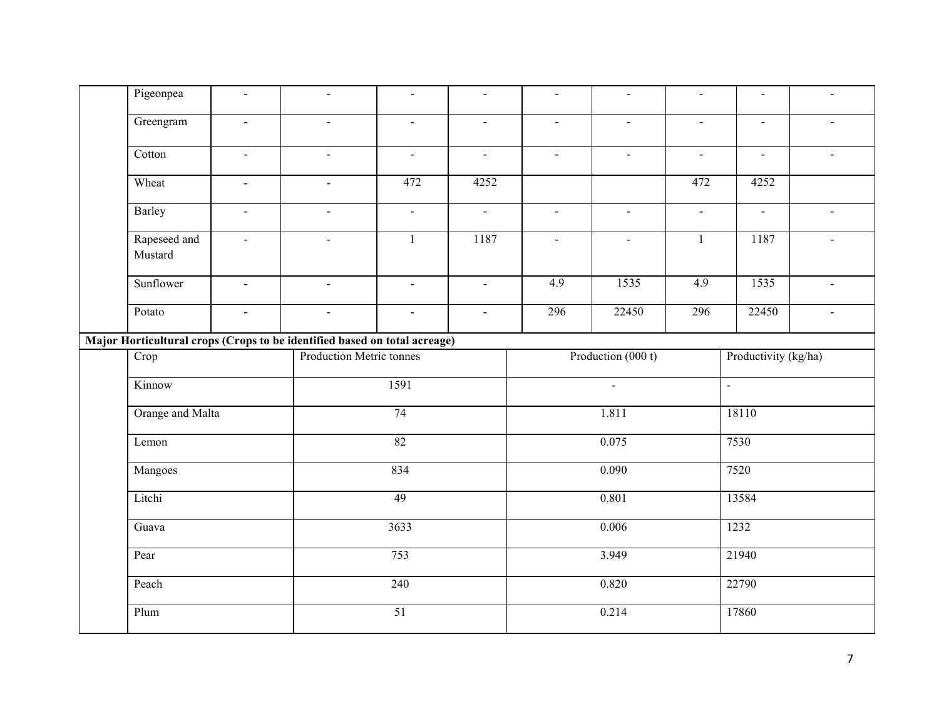|  | Pigeonpea               | $\sim$                      | $\blacksquare$                                                            | $\blacksquare$                | $\blacksquare$ | $\mathbf{u}$          | $\blacksquare$ | $\blacksquare$ | $\blacksquare$          | $\blacksquare$ |
|--|-------------------------|-----------------------------|---------------------------------------------------------------------------|-------------------------------|----------------|-----------------------|----------------|----------------|-------------------------|----------------|
|  | Greengram               | $\blacksquare$              | $\blacksquare$                                                            | $\blacksquare$                | $\blacksquare$ | $\blacksquare$        | $\blacksquare$ | $\blacksquare$ | $\blacksquare$          | $\blacksquare$ |
|  | Cotton                  | $\sim$                      | $\blacksquare$                                                            | $\mathbb{Z}^{\mathbb{Z}}$     | $\sim$         | $\sim$                | $\mathbf{r}$   | $\sim$         | $\omega$                | $\sim$         |
|  | Wheat                   | $\mathcal{L}_{\mathcal{A}}$ | $\omega$                                                                  | 472                           | 4252           |                       |                | 472            | 4252                    |                |
|  | Barley                  | $\sim$                      | $\blacksquare$                                                            | $\mathcal{L}^{\mathcal{L}}$   | $\blacksquare$ | $\mathbf{u}$          | $\blacksquare$ | $\blacksquare$ | $\blacksquare$          | $\sim$         |
|  | Rapeseed and<br>Mustard | $\mathcal{L}^{\mathcal{L}}$ | $\blacksquare$                                                            | $\mathbf{1}$                  | 1187           | $\blacksquare$        | $\omega$       | $\mathbf{1}$   | 1187                    | $\blacksquare$ |
|  | Sunflower               | $\equiv$                    | $\sim$                                                                    | $\equiv$                      | $\mathcal{L}$  | 4.9                   | 1535           | 4.9            | 1535                    | $\omega$       |
|  | Potato                  | $\blacksquare$              | $\blacksquare$                                                            | $\blacksquare$                | $\mathbf{r}$   | 296                   | 22450          | 296            | 22450                   | $\sim$         |
|  |                         |                             | Major Horticultural crops (Crops to be identified based on total acreage) |                               |                |                       |                |                |                         |                |
|  | $\overline{Crop}$       |                             |                                                                           | Production Metric tonnes      |                | Production (000 t)    |                |                | Productivity (kg/ha)    |                |
|  | Kinnow                  |                             |                                                                           | 1591<br>74<br>$\overline{82}$ |                | $\mathbf{r}$<br>1.811 |                |                | $\overline{a}$<br>18110 |                |
|  | Orange and Malta        |                             |                                                                           |                               |                |                       |                |                |                         |                |
|  | Lemon                   |                             |                                                                           |                               |                | 0.075                 |                |                | 7530                    |                |
|  | Mangoes                 |                             |                                                                           | 834                           |                | 0.090                 |                |                | 7520                    |                |
|  | Litchi<br>Guava         |                             |                                                                           | 49                            |                |                       | 0.801          |                | 13584                   |                |
|  |                         |                             |                                                                           | 3633                          |                |                       | 0.006          |                | 1232                    |                |
|  | Pear                    |                             |                                                                           | 753                           |                |                       | 3.949          |                | 21940                   |                |
|  | Peach                   |                             |                                                                           | 240                           |                | 0.820                 |                |                | 22790                   |                |
|  | Plum                    |                             |                                                                           | 51                            |                |                       | 0.214          |                | 17860                   |                |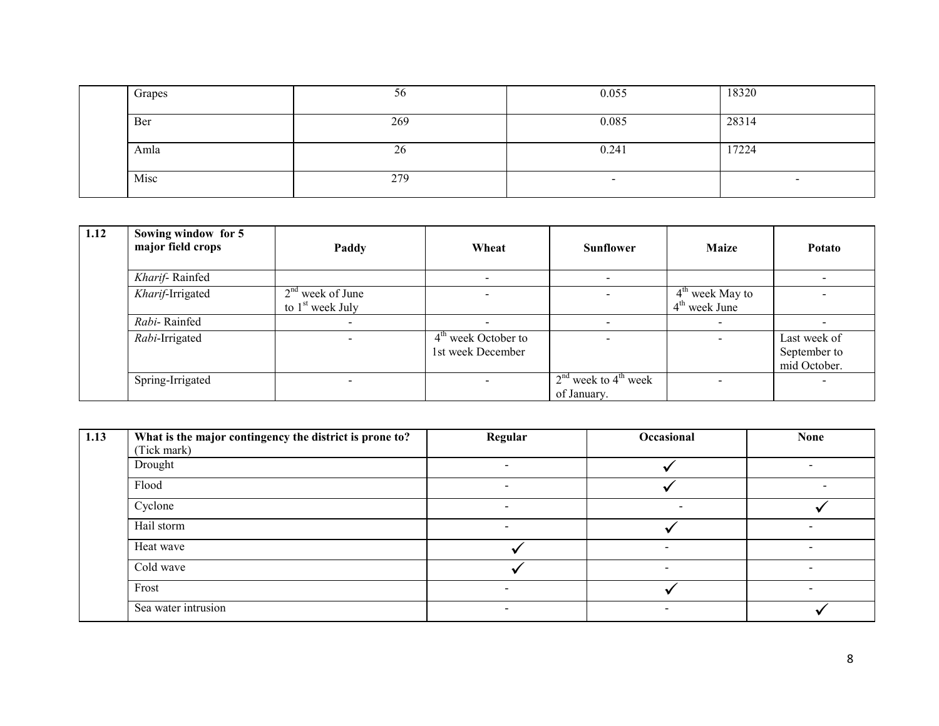| Grapes | 56  | 0.055 | 18320                    |
|--------|-----|-------|--------------------------|
| Ber    | 269 | 0.085 | 28314                    |
| Amla   | 26  | 0.241 | 17224                    |
| Misc   | 279 | $\,$  | $\overline{\phantom{0}}$ |

| 1.12 | Sowing window for 5<br>major field crops | Paddy                                    | Wheat                                      | <b>Sunflower</b>                        | <b>Maize</b>                         | Potato                                       |
|------|------------------------------------------|------------------------------------------|--------------------------------------------|-----------------------------------------|--------------------------------------|----------------------------------------------|
|      | Kharif-Rainfed                           |                                          |                                            | $\,$                                    |                                      |                                              |
|      | Kharif-Irrigated                         | $2nd$ week of June<br>to $1st$ week July |                                            |                                         | $4th$ week May to<br>$4th$ week June |                                              |
|      | Rabi-Rainfed                             |                                          |                                            |                                         |                                      |                                              |
|      | Rabi-Irrigated                           |                                          | $4th$ week October to<br>1st week December |                                         |                                      | Last week of<br>September to<br>mid October. |
|      | Spring-Irrigated                         | -                                        | $\overline{\phantom{0}}$                   | $2nd$ week to $4th$ week<br>of January. |                                      |                                              |

| 1.13 | What is the major contingency the district is prone to? | Regular | Occasional               | <b>None</b> |
|------|---------------------------------------------------------|---------|--------------------------|-------------|
|      | (Tick mark)                                             |         |                          |             |
|      | Drought                                                 |         |                          |             |
|      | Flood                                                   |         |                          |             |
|      | Cyclone                                                 | -       | $\overline{\phantom{a}}$ |             |
|      | Hail storm                                              |         |                          |             |
|      | Heat wave                                               |         |                          |             |
|      | Cold wave                                               |         |                          |             |
|      | Frost                                                   |         |                          |             |
|      | Sea water intrusion                                     |         |                          |             |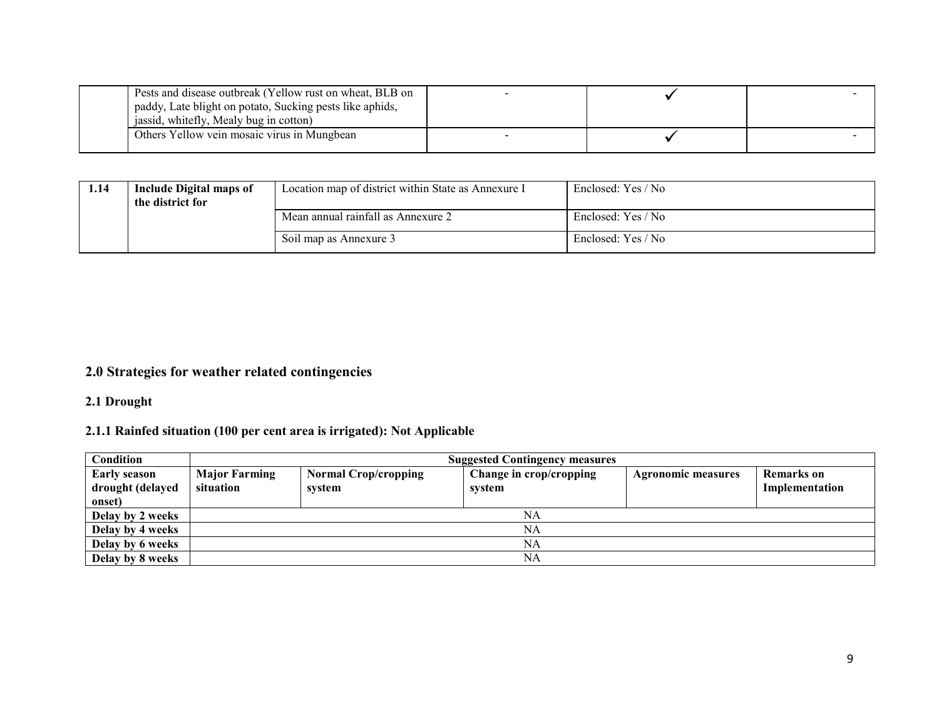| Pests and disease outbreak (Yellow rust on wheat, BLB on |  |  |
|----------------------------------------------------------|--|--|
| paddy, Late blight on potato, Sucking pests like aphids, |  |  |
| jassid, whitefly, Mealy bug in cotton)                   |  |  |
| Others Yellow vein mosaic virus in Mungbean              |  |  |

| 1.14 | <b>Include Digital maps of</b><br>the district for | Location map of district within State as Annexure I | Enclosed: Yes / No |
|------|----------------------------------------------------|-----------------------------------------------------|--------------------|
|      |                                                    | Mean annual rainfall as Annexure 2                  | Enclosed: Yes / No |
|      |                                                    | Soil map as Annexure 3                              | Enclosed: Yes / No |

#### 2.0 Strategies for weather related contingencies

#### 2.1 Drought

### 2.1.1 Rainfed situation (100 per cent area is irrigated): Not Applicable

| <b>Condition</b>                        |                                   | <b>Suggested Contingency measures</b> |                                   |                           |                              |  |  |  |
|-----------------------------------------|-----------------------------------|---------------------------------------|-----------------------------------|---------------------------|------------------------------|--|--|--|
| <b>Early season</b><br>drought (delayed | <b>Major Farming</b><br>situation | <b>Normal Crop/cropping</b><br>system | Change in crop/cropping<br>system | <b>Agronomic measures</b> | Remarks on<br>Implementation |  |  |  |
| onset)                                  |                                   |                                       |                                   |                           |                              |  |  |  |
| Delay by 2 weeks                        |                                   |                                       | NA                                |                           |                              |  |  |  |
| Delay by 4 weeks                        |                                   |                                       | NA                                |                           |                              |  |  |  |
| Delay by 6 weeks                        |                                   |                                       | NA                                |                           |                              |  |  |  |
| Delay by 8 weeks                        |                                   |                                       | NA                                |                           |                              |  |  |  |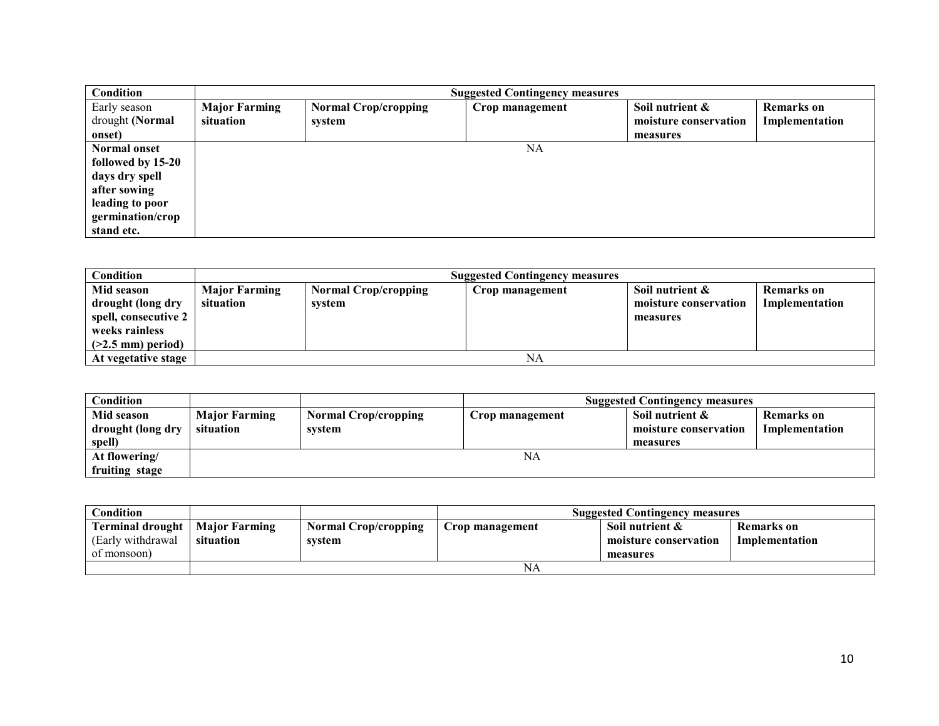| Condition           |                      |                             | <b>Suggested Contingency measures</b> |                       |                   |
|---------------------|----------------------|-----------------------------|---------------------------------------|-----------------------|-------------------|
| Early season        | <b>Major Farming</b> | <b>Normal Crop/cropping</b> | Crop management                       | Soil nutrient &       | <b>Remarks</b> on |
| drought (Normal     | situation            | system                      |                                       | moisture conservation | Implementation    |
| onset)              |                      |                             |                                       | measures              |                   |
| <b>Normal onset</b> |                      |                             | NA                                    |                       |                   |
| followed by 15-20   |                      |                             |                                       |                       |                   |
| days dry spell      |                      |                             |                                       |                       |                   |
| after sowing        |                      |                             |                                       |                       |                   |
| leading to poor     |                      |                             |                                       |                       |                   |
| germination/crop    |                      |                             |                                       |                       |                   |
| stand etc.          |                      |                             |                                       |                       |                   |

| Condition            |                      | <b>Suggested Contingency measures</b> |                 |                       |                |  |  |
|----------------------|----------------------|---------------------------------------|-----------------|-----------------------|----------------|--|--|
| Mid season           | <b>Major Farming</b> | <b>Normal Crop/cropping</b>           | Crop management | Soil nutrient &       | Remarks on     |  |  |
| drought (long dry    | situation            | system                                |                 | moisture conservation | Implementation |  |  |
| spell, consecutive 2 |                      |                                       |                 | measures              |                |  |  |
| weeks rainless       |                      |                                       |                 |                       |                |  |  |
| $($ >2.5 mm) period) |                      |                                       |                 |                       |                |  |  |
| At vegetative stage  |                      |                                       | NA              |                       |                |  |  |

| Condition         |                      |                             |                 | <b>Suggested Contingency measures</b> |                |
|-------------------|----------------------|-----------------------------|-----------------|---------------------------------------|----------------|
| Mid season        | <b>Major Farming</b> | <b>Normal Crop/cropping</b> | Crop management | Soil nutrient &                       | Remarks on     |
| drought (long dry | situation            | svstem                      |                 | moisture conservation                 | Implementation |
| spell)            |                      |                             |                 | measures                              |                |
| At flowering/     |                      |                             | NA              |                                       |                |
| fruiting stage    |                      |                             |                 |                                       |                |

| $\mathbf C$ ondition                                                         |           |                                       | <b>Suggested Contingency measures</b> |                                                      |                              |  |  |
|------------------------------------------------------------------------------|-----------|---------------------------------------|---------------------------------------|------------------------------------------------------|------------------------------|--|--|
| <b>Terminal drought</b>   Major Farming<br>(Early withdrawal)<br>of monsoon) | situation | <b>Normal Crop/cropping</b><br>svstem | Crop management                       | Soil nutrient &<br>moisture conservation<br>measures | Remarks on<br>Implementation |  |  |
|                                                                              |           |                                       | NA                                    |                                                      |                              |  |  |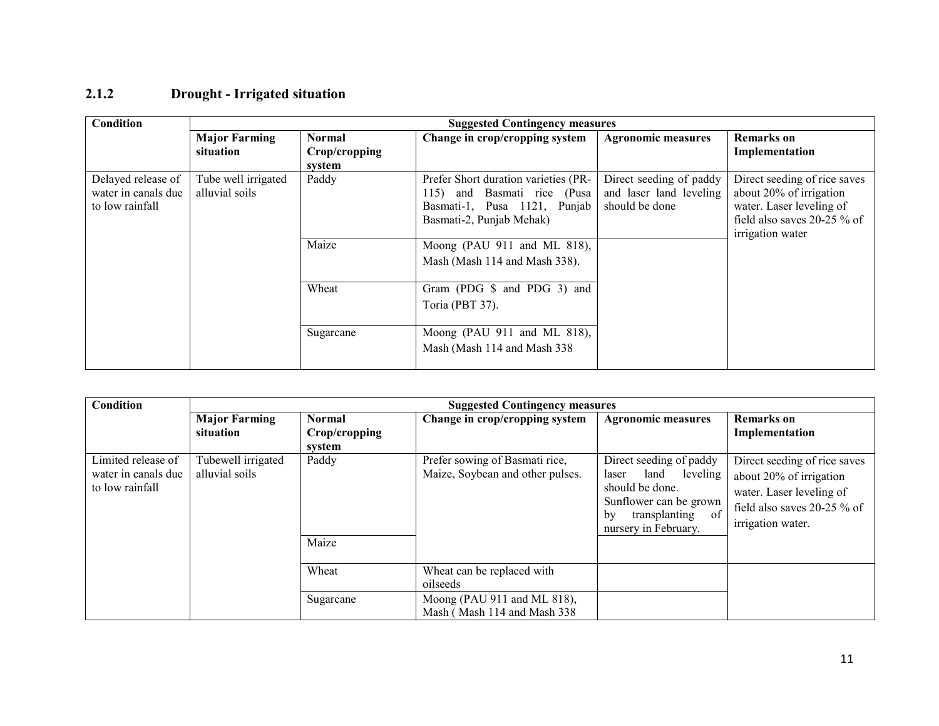### 2.1.2 Drought - Irrigated situation

| Condition           | <b>Suggested Contingency measures</b> |               |                                      |                           |                              |  |
|---------------------|---------------------------------------|---------------|--------------------------------------|---------------------------|------------------------------|--|
|                     | <b>Major Farming</b>                  | <b>Normal</b> | Change in crop/cropping system       | <b>Agronomic measures</b> | <b>Remarks</b> on            |  |
|                     | situation                             | Crop/cropping |                                      |                           | Implementation               |  |
|                     |                                       | system        |                                      |                           |                              |  |
| Delayed release of  | Tube well irrigated                   | Paddy         | Prefer Short duration varieties (PR- | Direct seeding of paddy   | Direct seeding of rice saves |  |
| water in canals due | alluvial soils                        |               | 115) and Basmati rice (Pusa          | and laser land leveling   | about 20% of irrigation      |  |
| to low rainfall     |                                       |               | Basmati-1, Pusa 1121, Punjab         | should be done            | water. Laser leveling of     |  |
|                     |                                       |               | Basmati-2, Punjab Mehak)             |                           | field also saves 20-25 % of  |  |
|                     |                                       |               |                                      |                           | irrigation water             |  |
|                     |                                       | Maize         | Moong (PAU 911 and ML 818),          |                           |                              |  |
|                     |                                       |               | Mash (Mash 114 and Mash 338).        |                           |                              |  |
|                     |                                       |               |                                      |                           |                              |  |
|                     |                                       | Wheat         | Gram (PDG \$ and PDG 3) and          |                           |                              |  |
|                     |                                       |               | Toria (PBT 37).                      |                           |                              |  |
|                     |                                       |               |                                      |                           |                              |  |
|                     |                                       | Sugarcane     | Moong (PAU 911 and ML 818),          |                           |                              |  |
|                     |                                       |               | Mash (Mash 114 and Mash 338)         |                           |                              |  |
|                     |                                       |               |                                      |                           |                              |  |

| Condition                                                    |                                      |                                          | <b>Suggested Contingency measures</b>                              |                                                                                                                                                          |                                                                                                                                         |
|--------------------------------------------------------------|--------------------------------------|------------------------------------------|--------------------------------------------------------------------|----------------------------------------------------------------------------------------------------------------------------------------------------------|-----------------------------------------------------------------------------------------------------------------------------------------|
|                                                              | <b>Major Farming</b><br>situation    | <b>Normal</b><br>Crop/cropping<br>system | Change in crop/cropping system                                     | <b>Agronomic measures</b>                                                                                                                                | <b>Remarks</b> on<br>Implementation                                                                                                     |
| Limited release of<br>water in canals due<br>to low rainfall | Tubewell irrigated<br>alluvial soils | Paddy<br>Maize                           | Prefer sowing of Basmati rice,<br>Maize, Soybean and other pulses. | Direct seeding of paddy<br>leveling  <br>land<br>laser<br>should be done.<br>Sunflower can be grown<br>of<br>transplanting<br>by<br>nursery in February. | Direct seeding of rice saves<br>about 20% of irrigation<br>water. Laser leveling of<br>field also saves 20-25 % of<br>irrigation water. |
|                                                              |                                      | Wheat                                    | Wheat can be replaced with<br>oilseeds                             |                                                                                                                                                          |                                                                                                                                         |
|                                                              |                                      | Sugarcane                                | Moong (PAU 911 and ML 818),<br>Mash (Mash 114 and Mash 338)        |                                                                                                                                                          |                                                                                                                                         |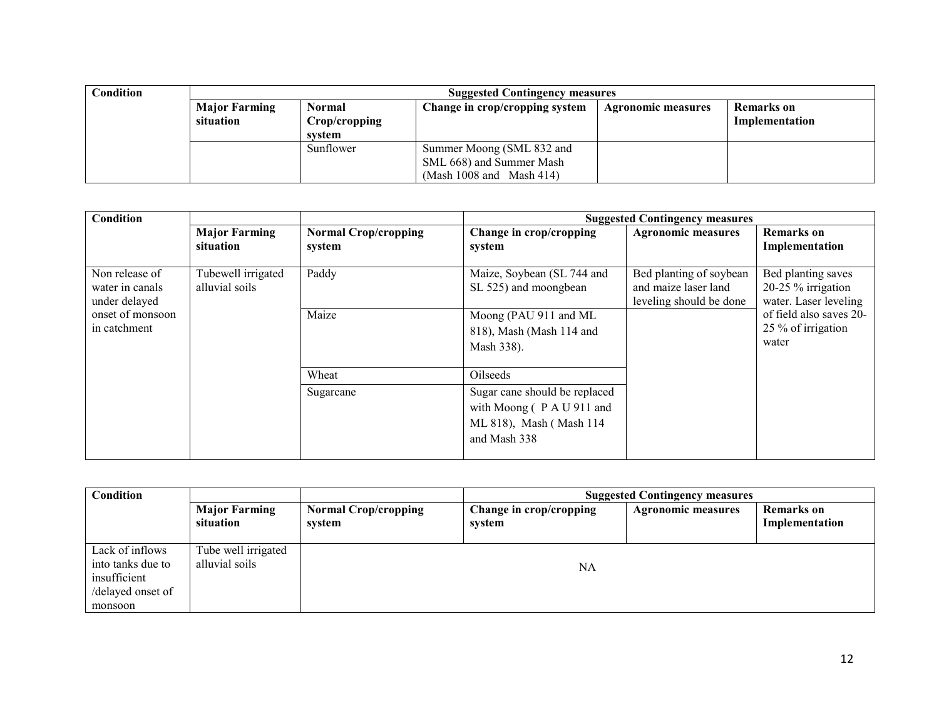| Condition | <b>Suggested Contingency measures</b> |               |                                |                           |                |  |  |
|-----------|---------------------------------------|---------------|--------------------------------|---------------------------|----------------|--|--|
|           | <b>Major Farming</b>                  | Normal        | Change in crop/cropping system | <b>Agronomic measures</b> | Remarks on     |  |  |
|           | situation                             | Crop/cropping |                                |                           | Implementation |  |  |
|           |                                       | system        |                                |                           |                |  |  |
|           |                                       | Sunflower     | Summer Moong (SML 832 and      |                           |                |  |  |
|           |                                       |               | SML 668) and Summer Mash       |                           |                |  |  |
|           |                                       |               | (Mash $1008$ and Mash $414$ )  |                           |                |  |  |

| <b>Condition</b>                                   |                                      |                                       |                                                                                                     | <b>Suggested Contingency measures</b>                                      |                                                                    |
|----------------------------------------------------|--------------------------------------|---------------------------------------|-----------------------------------------------------------------------------------------------------|----------------------------------------------------------------------------|--------------------------------------------------------------------|
|                                                    | <b>Major Farming</b><br>situation    | <b>Normal Crop/cropping</b><br>system | Change in crop/cropping<br>system                                                                   | <b>Agronomic measures</b>                                                  | <b>Remarks</b> on<br>Implementation                                |
| Non release of<br>water in canals<br>under delayed | Tubewell irrigated<br>alluvial soils | Paddy                                 | Maize, Soybean (SL 744 and<br>SL 525) and moongbean                                                 | Bed planting of soybean<br>and maize laser land<br>leveling should be done | Bed planting saves<br>$20-25%$ irrigation<br>water. Laser leveling |
| onset of monsoon<br>in catchment                   |                                      | Maize                                 | Moong (PAU 911 and ML<br>818), Mash (Mash 114 and<br>Mash 338).                                     |                                                                            | of field also saves 20-<br>25 % of irrigation<br>water             |
|                                                    |                                      | Wheat                                 | Oilseeds                                                                                            |                                                                            |                                                                    |
|                                                    |                                      | Sugarcane                             | Sugar cane should be replaced<br>with Moong (PAU 911 and<br>ML 818), Mash (Mash 114<br>and Mash 338 |                                                                            |                                                                    |

| Condition                                                                            |                                       | <b>Suggested Contingency measures</b> |                                   |                           |                                     |
|--------------------------------------------------------------------------------------|---------------------------------------|---------------------------------------|-----------------------------------|---------------------------|-------------------------------------|
|                                                                                      | <b>Major Farming</b><br>situation     | <b>Normal Crop/cropping</b><br>svstem | Change in crop/cropping<br>system | <b>Agronomic measures</b> | <b>Remarks</b> on<br>Implementation |
| Lack of inflows<br>into tanks due to<br>insufficient<br>/delayed onset of<br>monsoon | Tube well irrigated<br>alluvial soils |                                       | <b>NA</b>                         |                           |                                     |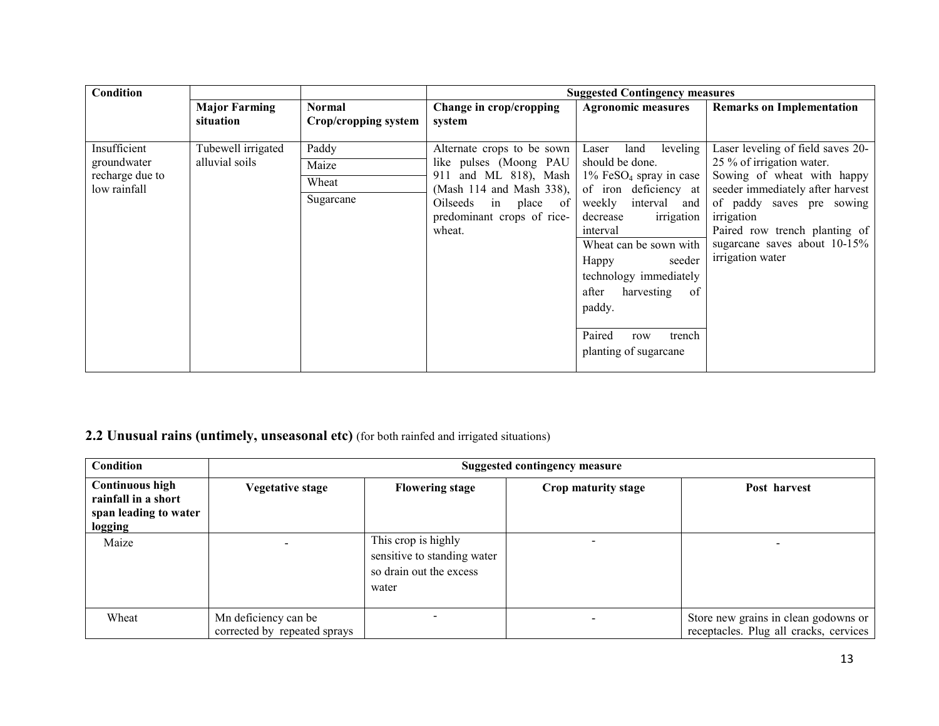| Condition                                                      |                                      |                                       |                                                                                                                                                                           | <b>Suggested Contingency measures</b>                                                                                                                                                                                                                                                                                                              |                                                                                                                                                                                                                                                                  |
|----------------------------------------------------------------|--------------------------------------|---------------------------------------|---------------------------------------------------------------------------------------------------------------------------------------------------------------------------|----------------------------------------------------------------------------------------------------------------------------------------------------------------------------------------------------------------------------------------------------------------------------------------------------------------------------------------------------|------------------------------------------------------------------------------------------------------------------------------------------------------------------------------------------------------------------------------------------------------------------|
|                                                                | <b>Major Farming</b><br>situation    | <b>Normal</b><br>Crop/cropping system | Change in crop/cropping<br>system                                                                                                                                         | <b>Agronomic measures</b>                                                                                                                                                                                                                                                                                                                          | <b>Remarks on Implementation</b>                                                                                                                                                                                                                                 |
| Insufficient<br>groundwater<br>recharge due to<br>low rainfall | Tubewell irrigated<br>alluvial soils | Paddy<br>Maize<br>Wheat<br>Sugarcane  | Alternate crops to be sown<br>like pulses (Moong PAU<br>911 and ML 818), Mash<br>(Mash 114 and Mash 338),<br>Oilseeds in place of<br>predominant crops of rice-<br>wheat. | leveling<br>land<br>Laser<br>should be done.<br>$1\%$ FeSO <sub>4</sub> spray in case<br>of iron deficiency at  <br>weekly<br>interval and<br>irrigation<br>decrease<br>interval<br>Wheat can be sown with<br>Happy<br>seeder<br>technology immediately<br>harvesting<br>of<br>after<br>paddy.<br>Paired<br>trench<br>row<br>planting of sugarcane | Laser leveling of field saves 20-<br>25 % of irrigation water.<br>Sowing of wheat with happy<br>seeder immediately after harvest<br>of paddy saves pre sowing<br>irrigation<br>Paired row trench planting of<br>sugarcane saves about 10-15%<br>irrigation water |

## 2.2 Unusual rains (untimely, unseasonal etc) (for both rainfed and irrigated situations)

| <b>Condition</b>                                                                  |                                                      | <b>Suggested contingency measure</b>                                                   |                     |                                                                                |  |  |  |
|-----------------------------------------------------------------------------------|------------------------------------------------------|----------------------------------------------------------------------------------------|---------------------|--------------------------------------------------------------------------------|--|--|--|
| <b>Continuous high</b><br>rainfall in a short<br>span leading to water<br>logging | <b>Vegetative stage</b>                              | <b>Flowering stage</b>                                                                 | Crop maturity stage | Post harvest                                                                   |  |  |  |
| Maize                                                                             |                                                      | This crop is highly<br>sensitive to standing water<br>so drain out the excess<br>water |                     |                                                                                |  |  |  |
| Wheat                                                                             | Mn deficiency can be<br>corrected by repeated sprays |                                                                                        |                     | Store new grains in clean godowns or<br>receptacles. Plug all cracks, cervices |  |  |  |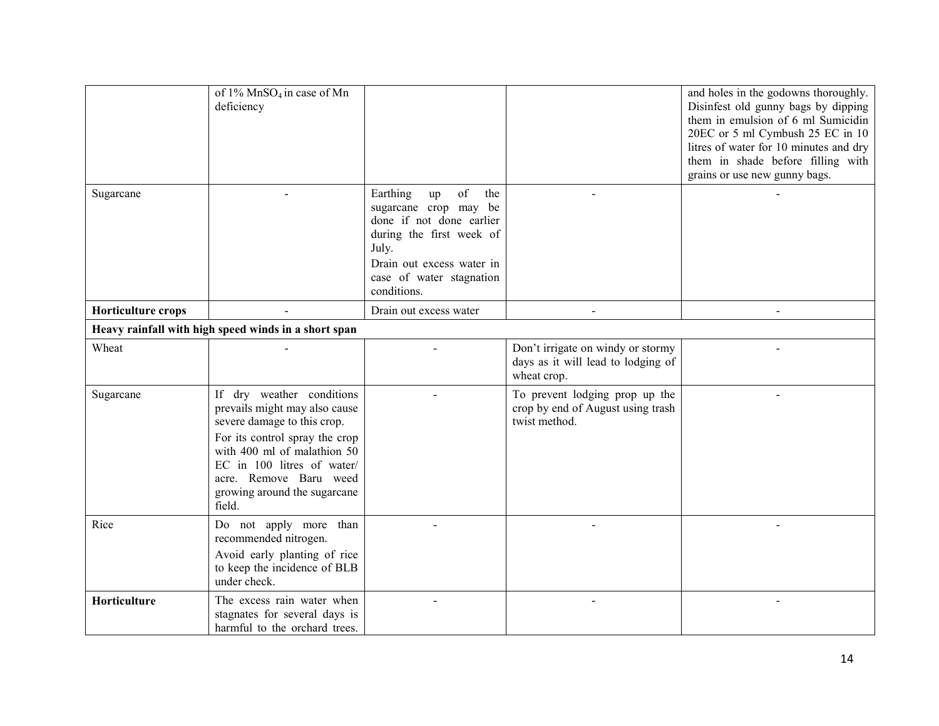|                    | of 1% MnSO <sub>4</sub> in case of Mn<br>deficiency                                                                                                                                                                                                          |                                                                                                                                                                                               |                                                                                        | and holes in the godowns thoroughly.<br>Disinfest old gunny bags by dipping<br>them in emulsion of 6 ml Sumicidin<br>20EC or 5 ml Cymbush 25 EC in 10<br>litres of water for 10 minutes and dry<br>them in shade before filling with<br>grains or use new gunny bags. |
|--------------------|--------------------------------------------------------------------------------------------------------------------------------------------------------------------------------------------------------------------------------------------------------------|-----------------------------------------------------------------------------------------------------------------------------------------------------------------------------------------------|----------------------------------------------------------------------------------------|-----------------------------------------------------------------------------------------------------------------------------------------------------------------------------------------------------------------------------------------------------------------------|
| Sugarcane          |                                                                                                                                                                                                                                                              | of<br>Earthing<br>the<br>up<br>sugarcane crop may be<br>done if not done earlier<br>during the first week of<br>July.<br>Drain out excess water in<br>case of water stagnation<br>conditions. |                                                                                        |                                                                                                                                                                                                                                                                       |
| Horticulture crops |                                                                                                                                                                                                                                                              | Drain out excess water                                                                                                                                                                        |                                                                                        |                                                                                                                                                                                                                                                                       |
|                    | Heavy rainfall with high speed winds in a short span                                                                                                                                                                                                         |                                                                                                                                                                                               |                                                                                        |                                                                                                                                                                                                                                                                       |
| Wheat              |                                                                                                                                                                                                                                                              |                                                                                                                                                                                               | Don't irrigate on windy or stormy<br>days as it will lead to lodging of<br>wheat crop. |                                                                                                                                                                                                                                                                       |
| Sugarcane          | If dry weather conditions<br>prevails might may also cause<br>severe damage to this crop.<br>For its control spray the crop<br>with 400 ml of malathion 50<br>EC in 100 litres of water/<br>acre. Remove Baru weed<br>growing around the sugarcane<br>field. |                                                                                                                                                                                               | To prevent lodging prop up the<br>crop by end of August using trash<br>twist method.   |                                                                                                                                                                                                                                                                       |
| Rice               | Do not apply more than<br>recommended nitrogen.<br>Avoid early planting of rice<br>to keep the incidence of BLB<br>under check.                                                                                                                              |                                                                                                                                                                                               |                                                                                        |                                                                                                                                                                                                                                                                       |
| Horticulture       | The excess rain water when<br>stagnates for several days is<br>harmful to the orchard trees.                                                                                                                                                                 |                                                                                                                                                                                               |                                                                                        |                                                                                                                                                                                                                                                                       |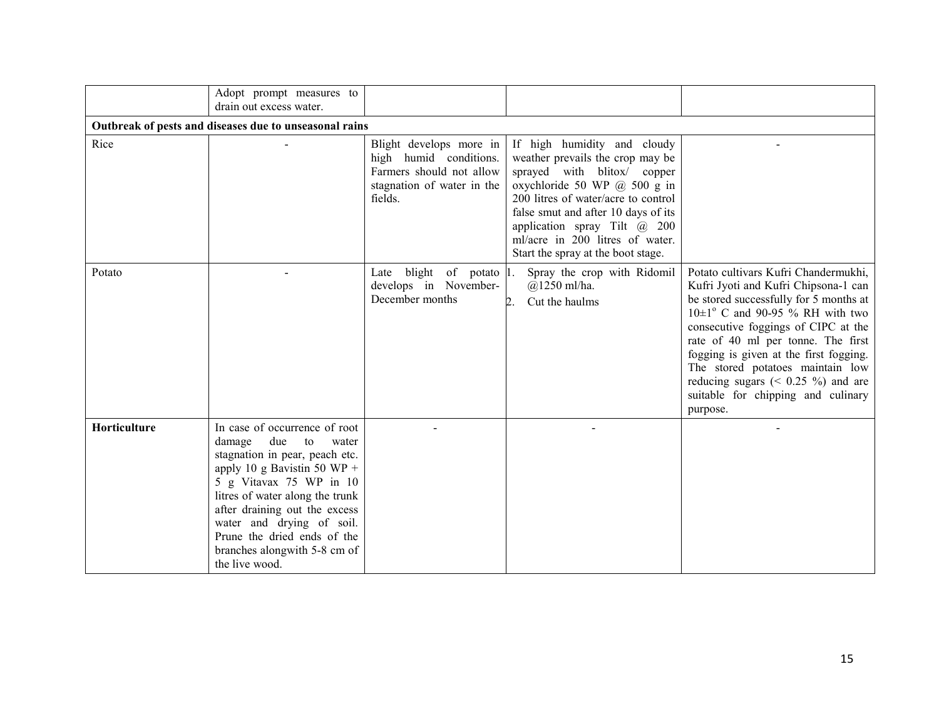|                                                        | Adopt prompt measures to<br>drain out excess water.                                                                                                                                                                                                                                                                                         |                                                                                                                        |                                                                                                                                                                                                                                                                                                                              |                                                                                                                                                                                                                                                                                                                                                                                                                          |  |  |  |
|--------------------------------------------------------|---------------------------------------------------------------------------------------------------------------------------------------------------------------------------------------------------------------------------------------------------------------------------------------------------------------------------------------------|------------------------------------------------------------------------------------------------------------------------|------------------------------------------------------------------------------------------------------------------------------------------------------------------------------------------------------------------------------------------------------------------------------------------------------------------------------|--------------------------------------------------------------------------------------------------------------------------------------------------------------------------------------------------------------------------------------------------------------------------------------------------------------------------------------------------------------------------------------------------------------------------|--|--|--|
| Outbreak of pests and diseases due to unseasonal rains |                                                                                                                                                                                                                                                                                                                                             |                                                                                                                        |                                                                                                                                                                                                                                                                                                                              |                                                                                                                                                                                                                                                                                                                                                                                                                          |  |  |  |
| Rice                                                   |                                                                                                                                                                                                                                                                                                                                             | Blight develops more in<br>high humid conditions.<br>Farmers should not allow<br>stagnation of water in the<br>fields. | If high humidity and cloudy<br>weather prevails the crop may be<br>sprayed with blitox/ copper<br>oxychloride 50 WP @ 500 g in<br>200 litres of water/acre to control<br>false smut and after 10 days of its<br>application spray Tilt $\omega$ 200<br>ml/acre in 200 litres of water.<br>Start the spray at the boot stage. |                                                                                                                                                                                                                                                                                                                                                                                                                          |  |  |  |
| Potato                                                 |                                                                                                                                                                                                                                                                                                                                             | Late blight of potato $ 1 $ .<br>develops in November-<br>December months                                              | Spray the crop with Ridomil<br>$@1250$ ml/ha.<br>Cut the haulms<br>$\mathbf{2}$ .                                                                                                                                                                                                                                            | Potato cultivars Kufri Chandermukhi,<br>Kufri Jyoti and Kufri Chipsona-1 can<br>be stored successfully for 5 months at<br>$10\pm1^{\circ}$ C and 90-95 % RH with two<br>consecutive foggings of CIPC at the<br>rate of 40 ml per tonne. The first<br>fogging is given at the first fogging.<br>The stored potatoes maintain low<br>reducing sugars $(0.25)$ %) and are<br>suitable for chipping and culinary<br>purpose. |  |  |  |
| Horticulture                                           | In case of occurrence of root<br>due<br>damage<br>to<br>water<br>stagnation in pear, peach etc.<br>apply 10 g Bavistin 50 WP +<br>5 g Vitavax 75 WP in 10<br>litres of water along the trunk<br>after draining out the excess<br>water and drying of soil.<br>Prune the dried ends of the<br>branches alongwith 5-8 cm of<br>the live wood. |                                                                                                                        |                                                                                                                                                                                                                                                                                                                              |                                                                                                                                                                                                                                                                                                                                                                                                                          |  |  |  |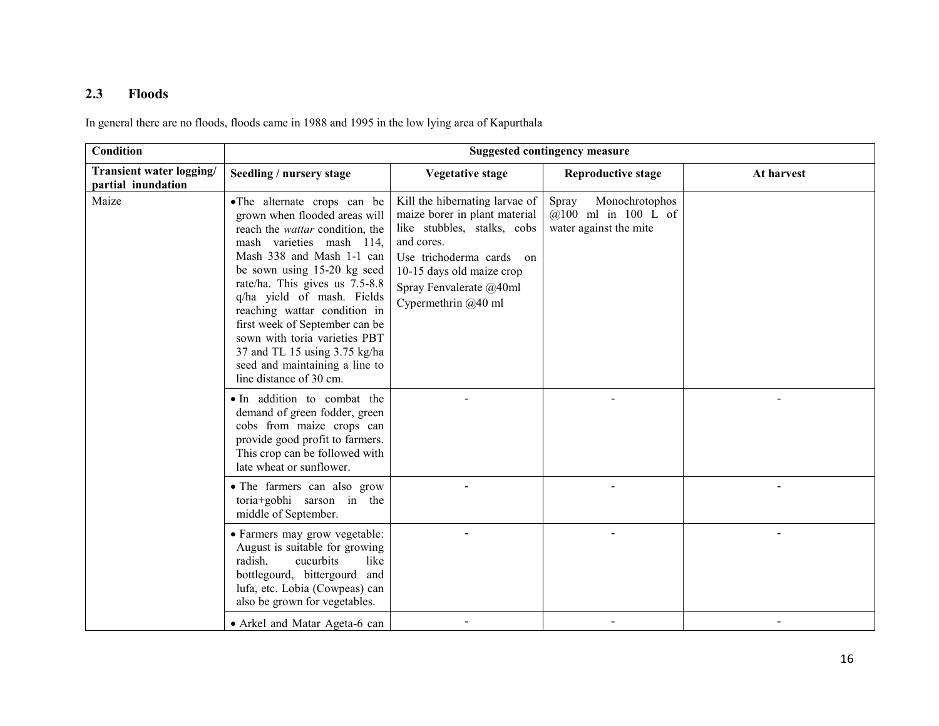## 2.3 Floods

In general there are no floods, floods came in 1988 and 1995 in the low lying area of Kapurthala

| <b>Condition</b>                               | <b>Suggested contingency measure</b>                                                                                                                                                                                                                                                                                                                                                                                                                            |                                                                                                                                                                                                                         |                                                                            |            |  |
|------------------------------------------------|-----------------------------------------------------------------------------------------------------------------------------------------------------------------------------------------------------------------------------------------------------------------------------------------------------------------------------------------------------------------------------------------------------------------------------------------------------------------|-------------------------------------------------------------------------------------------------------------------------------------------------------------------------------------------------------------------------|----------------------------------------------------------------------------|------------|--|
| Transient water logging/<br>partial inundation | Seedling / nursery stage                                                                                                                                                                                                                                                                                                                                                                                                                                        | <b>Vegetative stage</b>                                                                                                                                                                                                 | <b>Reproductive stage</b>                                                  | At harvest |  |
| Maize                                          | •The alternate crops can be<br>grown when flooded areas will<br>reach the <i>wattar</i> condition, the<br>mash varieties mash 114,<br>Mash 338 and Mash 1-1 can<br>be sown using 15-20 kg seed<br>rate/ha. This gives us 7.5-8.8<br>q/ha yield of mash. Fields<br>reaching wattar condition in<br>first week of September can be<br>sown with toria varieties PBT<br>37 and TL 15 using 3.75 kg/ha<br>seed and maintaining a line to<br>line distance of 30 cm. | Kill the hibernating larvae of<br>maize borer in plant material<br>like stubbles, stalks, cobs<br>and cores.<br>Use trichoderma cards on<br>10-15 days old maize crop<br>Spray Fenvalerate @40ml<br>Cypermethrin @40 ml | Monochrotophos<br>Spray<br>$@100$ ml in 100 L of<br>water against the mite |            |  |
|                                                | · In addition to combat the<br>demand of green fodder, green<br>cobs from maize crops can<br>provide good profit to farmers.<br>This crop can be followed with<br>late wheat or sunflower.                                                                                                                                                                                                                                                                      |                                                                                                                                                                                                                         |                                                                            |            |  |
|                                                | • The farmers can also grow<br>toria+gobhi sarson in the<br>middle of September.                                                                                                                                                                                                                                                                                                                                                                                |                                                                                                                                                                                                                         |                                                                            |            |  |
|                                                | · Farmers may grow vegetable:<br>August is suitable for growing<br>radish.<br>cucurbits<br>like<br>bottlegourd, bittergourd<br>and<br>lufa, etc. Lobia (Cowpeas) can<br>also be grown for vegetables.                                                                                                                                                                                                                                                           |                                                                                                                                                                                                                         |                                                                            |            |  |
|                                                | • Arkel and Matar Ageta-6 can                                                                                                                                                                                                                                                                                                                                                                                                                                   |                                                                                                                                                                                                                         |                                                                            |            |  |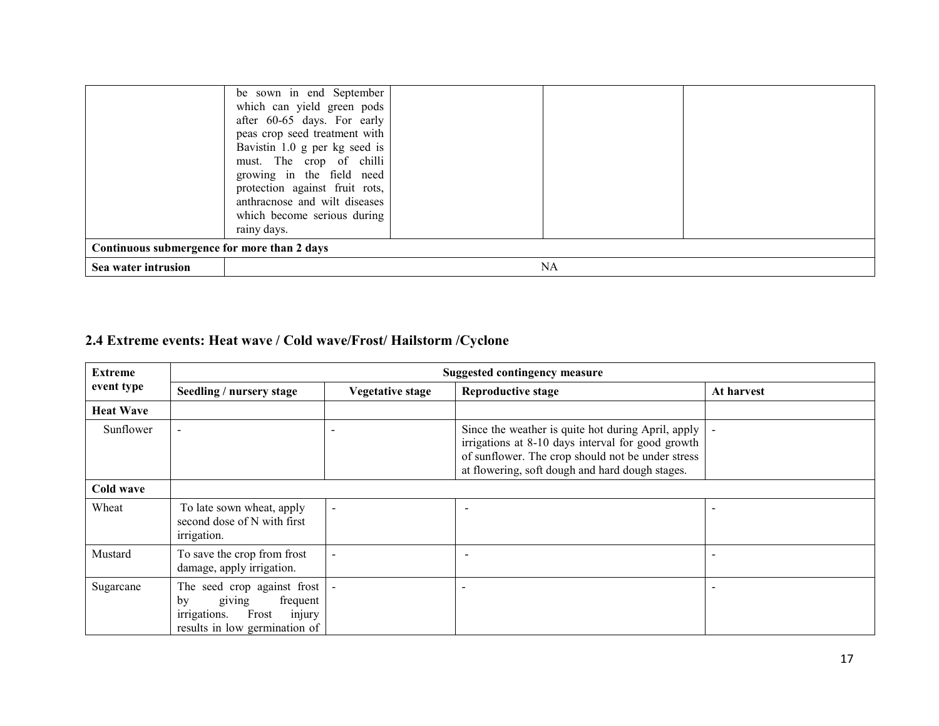|                                             | be sown in end September<br>which can yield green pods<br>after 60-65 days. For early                                                                                                      |  |  |  |  |
|---------------------------------------------|--------------------------------------------------------------------------------------------------------------------------------------------------------------------------------------------|--|--|--|--|
|                                             | peas crop seed treatment with<br>Bavistin 1.0 g per kg seed is<br>must. The crop of chilli<br>growing in the field need<br>protection against fruit rots,<br>anthracnose and wilt diseases |  |  |  |  |
|                                             | which become serious during<br>rainy days.                                                                                                                                                 |  |  |  |  |
| Continuous submergence for more than 2 days |                                                                                                                                                                                            |  |  |  |  |
| Sea water intrusion                         | NA                                                                                                                                                                                         |  |  |  |  |

# 2.4 Extreme events: Heat wave / Cold wave/Frost/ Hailstorm /Cyclone

| <b>Extreme</b>   | <b>Suggested contingency measure</b>                                                                                        |                         |                                                                                                                                                                                                                 |            |  |
|------------------|-----------------------------------------------------------------------------------------------------------------------------|-------------------------|-----------------------------------------------------------------------------------------------------------------------------------------------------------------------------------------------------------------|------------|--|
| event type       | Seedling / nursery stage                                                                                                    | <b>Vegetative stage</b> | <b>Reproductive stage</b>                                                                                                                                                                                       | At harvest |  |
| <b>Heat Wave</b> |                                                                                                                             |                         |                                                                                                                                                                                                                 |            |  |
| Sunflower        |                                                                                                                             |                         | Since the weather is quite hot during April, apply<br>irrigations at 8-10 days interval for good growth<br>of sunflower. The crop should not be under stress<br>at flowering, soft dough and hard dough stages. |            |  |
| Cold wave        |                                                                                                                             |                         |                                                                                                                                                                                                                 |            |  |
| Wheat            | To late sown wheat, apply<br>second dose of N with first<br><i>irrigation.</i>                                              | $\blacksquare$          |                                                                                                                                                                                                                 |            |  |
| Mustard          | To save the crop from frost<br>damage, apply irrigation.                                                                    |                         |                                                                                                                                                                                                                 |            |  |
| Sugarcane        | The seed crop against frost<br>giving<br>frequent<br>by<br>Frost<br>irrigations.<br>injury<br>results in low germination of |                         |                                                                                                                                                                                                                 |            |  |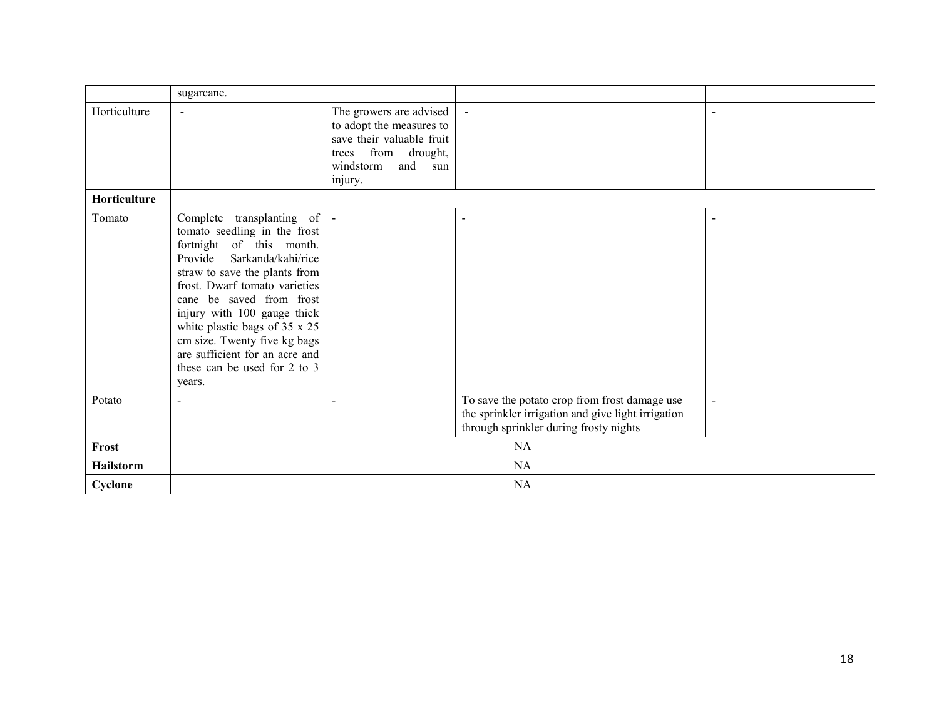|              | sugarcane.                                                                                                                                                                                                                                                                                                                                                                                          |                                                                                                                                                  |                                                                                                                                               |                |  |
|--------------|-----------------------------------------------------------------------------------------------------------------------------------------------------------------------------------------------------------------------------------------------------------------------------------------------------------------------------------------------------------------------------------------------------|--------------------------------------------------------------------------------------------------------------------------------------------------|-----------------------------------------------------------------------------------------------------------------------------------------------|----------------|--|
| Horticulture | $\overline{\phantom{0}}$                                                                                                                                                                                                                                                                                                                                                                            | The growers are advised<br>to adopt the measures to<br>save their valuable fruit<br>from drought,<br>trees<br>and<br>windstorm<br>sun<br>injury. |                                                                                                                                               |                |  |
| Horticulture |                                                                                                                                                                                                                                                                                                                                                                                                     |                                                                                                                                                  |                                                                                                                                               |                |  |
| Tomato       | Complete transplanting of  -<br>tomato seedling in the frost<br>fortnight of this month.<br>Sarkanda/kahi/rice<br>Provide<br>straw to save the plants from<br>frost. Dwarf tomato varieties<br>cane be saved from frost<br>injury with 100 gauge thick<br>white plastic bags of 35 x 25<br>cm size. Twenty five kg bags<br>are sufficient for an acre and<br>these can be used for 2 to 3<br>years. |                                                                                                                                                  | $\blacksquare$                                                                                                                                | $\blacksquare$ |  |
| Potato       |                                                                                                                                                                                                                                                                                                                                                                                                     |                                                                                                                                                  | To save the potato crop from frost damage use<br>the sprinkler irrigation and give light irrigation<br>through sprinkler during frosty nights | $\blacksquare$ |  |
| Frost        | NA                                                                                                                                                                                                                                                                                                                                                                                                  |                                                                                                                                                  |                                                                                                                                               |                |  |
| Hailstorm    | NA                                                                                                                                                                                                                                                                                                                                                                                                  |                                                                                                                                                  |                                                                                                                                               |                |  |
| Cyclone      | <b>NA</b>                                                                                                                                                                                                                                                                                                                                                                                           |                                                                                                                                                  |                                                                                                                                               |                |  |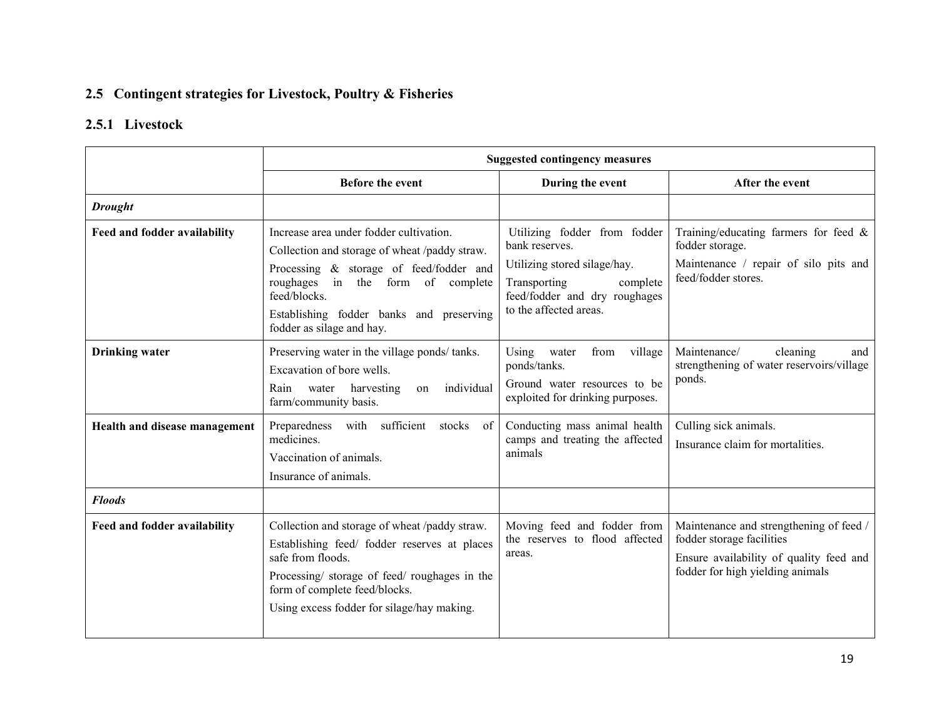### 2.5 Contingent strategies for Livestock, Poultry & Fisheries

### 2.5.1 Livestock

|                               | <b>Suggested contingency measures</b>                                                                                                                                                                                                                             |                                                                                                                                                                       |                                                                                                                                                     |  |
|-------------------------------|-------------------------------------------------------------------------------------------------------------------------------------------------------------------------------------------------------------------------------------------------------------------|-----------------------------------------------------------------------------------------------------------------------------------------------------------------------|-----------------------------------------------------------------------------------------------------------------------------------------------------|--|
|                               | <b>Before the event</b>                                                                                                                                                                                                                                           | During the event                                                                                                                                                      | After the event                                                                                                                                     |  |
| <b>Drought</b>                |                                                                                                                                                                                                                                                                   |                                                                                                                                                                       |                                                                                                                                                     |  |
| Feed and fodder availability  | Increase area under fodder cultivation.<br>Collection and storage of wheat /paddy straw.<br>Processing & storage of feed/fodder and<br>roughages in the form of complete<br>feed/blocks.<br>Establishing fodder banks and preserving<br>fodder as silage and hay. | Utilizing fodder from fodder<br>bank reserves.<br>Utilizing stored silage/hay.<br>Transporting<br>complete<br>feed/fodder and dry roughages<br>to the affected areas. | Training/educating farmers for feed $\&$<br>fodder storage.<br>Maintenance / repair of silo pits and<br>feed/fodder stores.                         |  |
| <b>Drinking</b> water         | Preserving water in the village ponds/tanks.<br>Excavation of bore wells.<br>Rain<br>individual<br>water harvesting<br><sub>on</sub><br>farm/community basis.                                                                                                     | from<br>village<br>Using<br>water<br>ponds/tanks.<br>Ground water resources to be<br>exploited for drinking purposes.                                                 | Maintenance/<br>cleaning<br>and<br>strengthening of water reservoirs/village<br>ponds.                                                              |  |
| Health and disease management | with sufficient<br>Preparedness<br>stocks of<br>medicines.<br>Vaccination of animals.<br>Insurance of animals.                                                                                                                                                    | Conducting mass animal health<br>camps and treating the affected<br>animals                                                                                           | Culling sick animals.<br>Insurance claim for mortalities.                                                                                           |  |
| <b>Floods</b>                 |                                                                                                                                                                                                                                                                   |                                                                                                                                                                       |                                                                                                                                                     |  |
| Feed and fodder availability  | Collection and storage of wheat /paddy straw.<br>Establishing feed/ fodder reserves at places<br>safe from floods.<br>Processing/storage of feed/roughages in the<br>form of complete feed/blocks.<br>Using excess fodder for silage/hay making.                  | Moving feed and fodder from<br>the reserves to flood affected<br>areas.                                                                                               | Maintenance and strengthening of feed /<br>fodder storage facilities<br>Ensure availability of quality feed and<br>fodder for high yielding animals |  |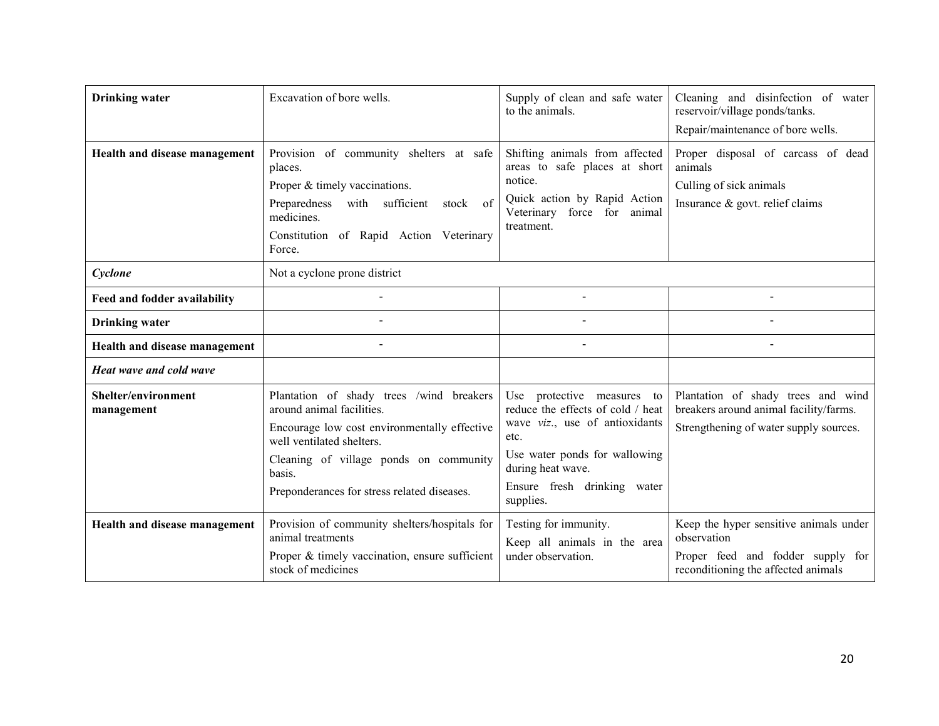| <b>Drinking water</b>             | Excavation of bore wells.                                                                                                                                                                                                                             | Supply of clean and safe water<br>to the animals.                                                                                                                                                           | Cleaning and disinfection of water<br>reservoir/village ponds/tanks.<br>Repair/maintenance of bore wells.                         |
|-----------------------------------|-------------------------------------------------------------------------------------------------------------------------------------------------------------------------------------------------------------------------------------------------------|-------------------------------------------------------------------------------------------------------------------------------------------------------------------------------------------------------------|-----------------------------------------------------------------------------------------------------------------------------------|
| Health and disease management     | Provision of community shelters at safe<br>places.<br>Proper & timely vaccinations.<br>Preparedness<br>with sufficient<br>stock of<br>medicines.<br>Constitution of Rapid Action Veterinary<br>Force.                                                 | Shifting animals from affected<br>areas to safe places at short<br>notice.<br>Quick action by Rapid Action<br>force for animal<br>Veterinary<br>treatment.                                                  | Proper disposal of carcass of dead<br>animals<br>Culling of sick animals<br>Insurance $\&$ govt. relief claims                    |
| Cyclone                           | Not a cyclone prone district                                                                                                                                                                                                                          |                                                                                                                                                                                                             |                                                                                                                                   |
| Feed and fodder availability      |                                                                                                                                                                                                                                                       |                                                                                                                                                                                                             |                                                                                                                                   |
| <b>Drinking water</b>             |                                                                                                                                                                                                                                                       |                                                                                                                                                                                                             |                                                                                                                                   |
| Health and disease management     |                                                                                                                                                                                                                                                       |                                                                                                                                                                                                             |                                                                                                                                   |
| Heat wave and cold wave           |                                                                                                                                                                                                                                                       |                                                                                                                                                                                                             |                                                                                                                                   |
| Shelter/environment<br>management | Plantation of shady trees /wind breakers<br>around animal facilities.<br>Encourage low cost environmentally effective<br>well ventilated shelters.<br>Cleaning of village ponds on community<br>basis.<br>Preponderances for stress related diseases. | Use protective measures to<br>reduce the effects of cold / heat<br>wave viz., use of antioxidants<br>etc.<br>Use water ponds for wallowing<br>during heat wave.<br>Ensure fresh drinking water<br>supplies. | Plantation of shady trees and wind<br>breakers around animal facility/farms.<br>Strengthening of water supply sources.            |
| Health and disease management     | Provision of community shelters/hospitals for<br>animal treatments<br>Proper & timely vaccination, ensure sufficient<br>stock of medicines                                                                                                            | Testing for immunity.<br>Keep all animals in the area<br>under observation.                                                                                                                                 | Keep the hyper sensitive animals under<br>observation<br>Proper feed and fodder supply for<br>reconditioning the affected animals |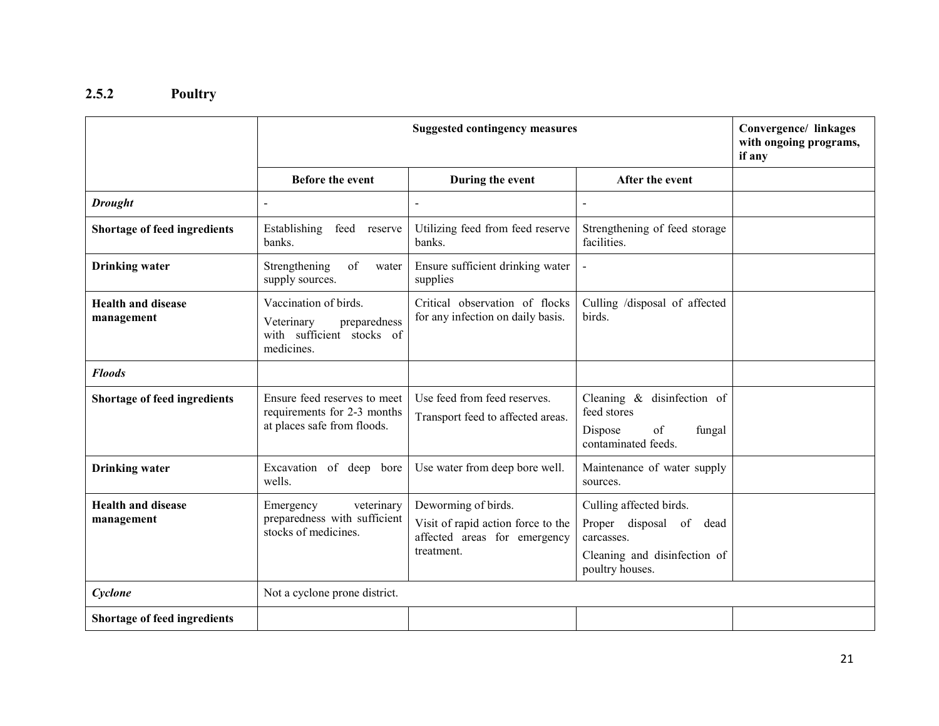### 2.5.2 Poultry

|                                         |                                                                                                | Convergence/ linkages<br>with ongoing programs,<br>if any                                               |                                                                                                                        |  |
|-----------------------------------------|------------------------------------------------------------------------------------------------|---------------------------------------------------------------------------------------------------------|------------------------------------------------------------------------------------------------------------------------|--|
|                                         | <b>Before the event</b>                                                                        | During the event                                                                                        | After the event                                                                                                        |  |
| <b>Drought</b>                          | $\overline{a}$                                                                                 | $\overline{a}$                                                                                          | $\blacksquare$                                                                                                         |  |
| Shortage of feed ingredients            | Establishing<br>feed<br>reserve<br>banks.                                                      | Utilizing feed from feed reserve<br>banks.                                                              | Strengthening of feed storage<br>facilities.                                                                           |  |
| <b>Drinking</b> water                   | Strengthening<br>of<br>water<br>supply sources.                                                | Ensure sufficient drinking water<br>supplies                                                            | $\blacksquare$                                                                                                         |  |
| <b>Health and disease</b><br>management | Vaccination of birds.<br>Veterinary<br>preparedness<br>with sufficient stocks of<br>medicines. | Critical observation of flocks<br>for any infection on daily basis.                                     | Culling /disposal of affected<br>birds.                                                                                |  |
| <b>Floods</b>                           |                                                                                                |                                                                                                         |                                                                                                                        |  |
| <b>Shortage of feed ingredients</b>     | Ensure feed reserves to meet<br>requirements for 2-3 months<br>at places safe from floods.     | Use feed from feed reserves.<br>Transport feed to affected areas.                                       | Cleaning & disinfection of<br>feed stores<br>Dispose<br>of<br>fungal<br>contaminated feeds.                            |  |
| <b>Drinking</b> water                   | Excavation of deep bore<br>wells.                                                              | Use water from deep bore well.                                                                          | Maintenance of water supply<br>sources.                                                                                |  |
| <b>Health and disease</b><br>management | veterinary<br>Emergency<br>preparedness with sufficient<br>stocks of medicines.                | Deworming of birds.<br>Visit of rapid action force to the<br>affected areas for emergency<br>treatment. | Culling affected birds.<br>Proper disposal of<br>dead<br>carcasses.<br>Cleaning and disinfection of<br>poultry houses. |  |
| Cyclone                                 | Not a cyclone prone district.                                                                  |                                                                                                         |                                                                                                                        |  |
| Shortage of feed ingredients            |                                                                                                |                                                                                                         |                                                                                                                        |  |

21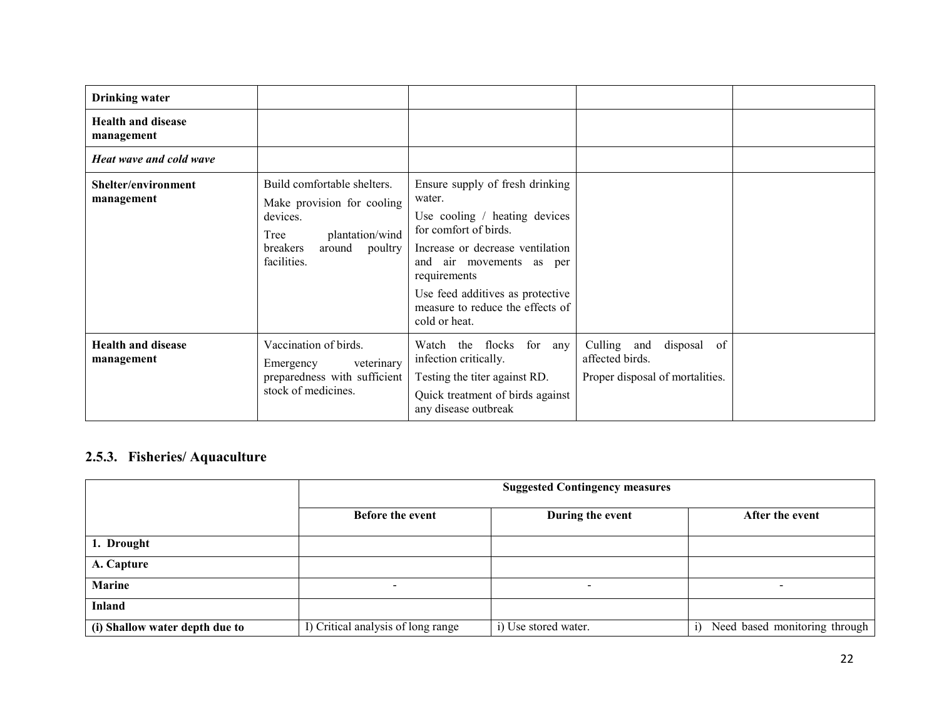| <b>Drinking water</b>                   |                                                                                                                                                  |                                                                                                                                                                                                                                                                              |                                                                                     |  |
|-----------------------------------------|--------------------------------------------------------------------------------------------------------------------------------------------------|------------------------------------------------------------------------------------------------------------------------------------------------------------------------------------------------------------------------------------------------------------------------------|-------------------------------------------------------------------------------------|--|
| <b>Health and disease</b><br>management |                                                                                                                                                  |                                                                                                                                                                                                                                                                              |                                                                                     |  |
| Heat wave and cold wave                 |                                                                                                                                                  |                                                                                                                                                                                                                                                                              |                                                                                     |  |
| Shelter/environment<br>management       | Build comfortable shelters.<br>Make provision for cooling<br>devices.<br>plantation/wind<br>Tree<br>around<br>breakers<br>poultry<br>facilities. | Ensure supply of fresh drinking<br>water.<br>Use cooling / heating devices<br>for comfort of birds.<br>Increase or decrease ventilation<br>and air movements as per<br>requirements<br>Use feed additives as protective<br>measure to reduce the effects of<br>cold or heat. |                                                                                     |  |
| <b>Health and disease</b><br>management | Vaccination of birds.<br>veterinary<br>Emergency<br>preparedness with sufficient<br>stock of medicines.                                          | flocks<br>for any<br>Watch the<br>infection critically.<br>Testing the titer against RD.<br>Quick treatment of birds against<br>any disease outbreak                                                                                                                         | Culling<br>disposal of<br>and<br>affected birds.<br>Proper disposal of mortalities. |  |

### 2.5.3. Fisheries/ Aquaculture

|                                |                                    | <b>Suggested Contingency measures</b> |                                     |  |  |
|--------------------------------|------------------------------------|---------------------------------------|-------------------------------------|--|--|
|                                | Before the event                   | During the event                      | After the event                     |  |  |
| 1. Drought                     |                                    |                                       |                                     |  |  |
| A. Capture                     |                                    |                                       |                                     |  |  |
| <b>Marine</b>                  | $\sim$                             | $\overline{\phantom{0}}$              | $\overline{\phantom{0}}$            |  |  |
| <b>Inland</b>                  |                                    |                                       |                                     |  |  |
| (i) Shallow water depth due to | I) Critical analysis of long range | i) Use stored water.                  | Need based monitoring through<br>1) |  |  |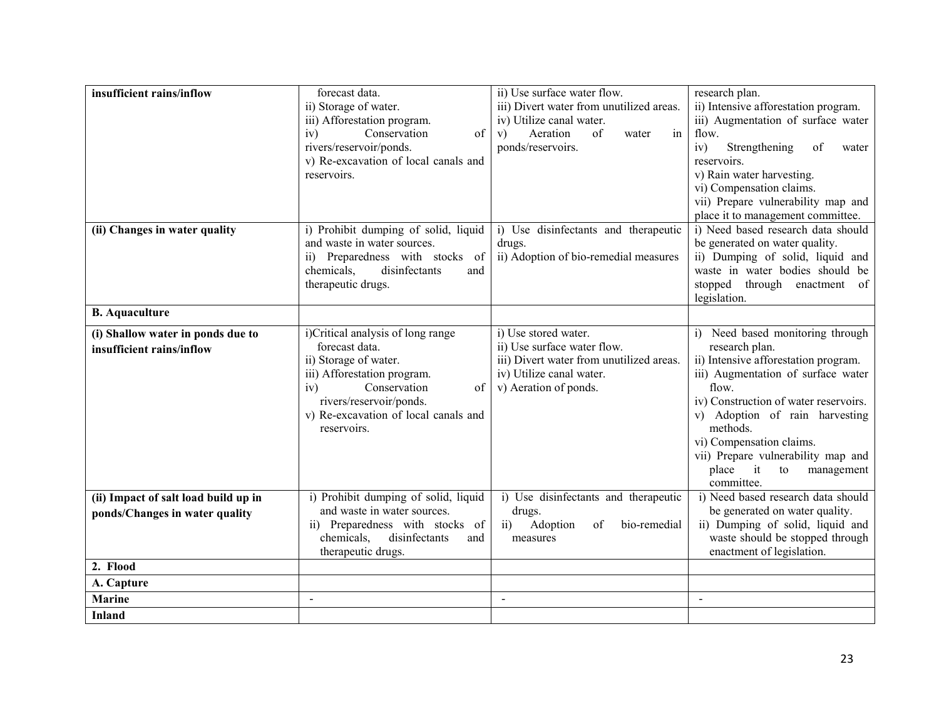| insufficient rains/inflow            | forecast data.                       | ii) Use surface water flow.                       | research plan.                                   |
|--------------------------------------|--------------------------------------|---------------------------------------------------|--------------------------------------------------|
|                                      | ii) Storage of water.                | iii) Divert water from unutilized areas.          | ii) Intensive afforestation program.             |
|                                      | iii) Afforestation program.          | iv) Utilize canal water.                          | iii) Augmentation of surface water               |
|                                      | iv)<br>Conservation<br>of            | of<br>Aeration<br>in<br>V)<br>water               | flow.                                            |
|                                      | rivers/reservoir/ponds.              | ponds/reservoirs.                                 | Strengthening<br>of<br>iv)<br>water              |
|                                      | v) Re-excavation of local canals and |                                                   | reservoirs.                                      |
|                                      | reservoirs.                          |                                                   | v) Rain water harvesting.                        |
|                                      |                                      |                                                   | vi) Compensation claims.                         |
|                                      |                                      |                                                   | vii) Prepare vulnerability map and               |
|                                      |                                      |                                                   | place it to management committee.                |
| (ii) Changes in water quality        | i) Prohibit dumping of solid, liquid | i) Use disinfectants and therapeutic              | i) Need based research data should               |
|                                      | and waste in water sources.          | drugs.                                            | be generated on water quality.                   |
|                                      | ii) Preparedness with stocks of      | ii) Adoption of bio-remedial measures             | ii) Dumping of solid, liquid and                 |
|                                      | disinfectants<br>chemicals,<br>and   |                                                   | waste in water bodies should be                  |
|                                      | therapeutic drugs.                   |                                                   | stopped through enactment of                     |
|                                      |                                      |                                                   | legislation.                                     |
| <b>B.</b> Aquaculture                |                                      |                                                   |                                                  |
| (i) Shallow water in ponds due to    | i)Critical analysis of long range    | i) Use stored water.                              | i) Need based monitoring through                 |
| insufficient rains/inflow            | forecast data.                       | ii) Use surface water flow.                       | research plan.                                   |
|                                      | ii) Storage of water.                | iii) Divert water from unutilized areas.          | ii) Intensive afforestation program.             |
|                                      | iii) Afforestation program.          | iv) Utilize canal water.                          | iii) Augmentation of surface water               |
|                                      | Conservation<br>iv)<br>of            | v) Aeration of ponds.                             | flow.                                            |
|                                      | rivers/reservoir/ponds.              |                                                   | iv) Construction of water reservoirs.            |
|                                      | v) Re-excavation of local canals and |                                                   | v) Adoption of rain harvesting                   |
|                                      | reservoirs.                          |                                                   | methods.                                         |
|                                      |                                      |                                                   | vi) Compensation claims.                         |
|                                      |                                      |                                                   | vii) Prepare vulnerability map and               |
|                                      |                                      |                                                   | place<br>it<br>to<br>management                  |
| (ii) Impact of salt load build up in | i) Prohibit dumping of solid, liquid | i) Use disinfectants and therapeutic              | committee.<br>i) Need based research data should |
|                                      | and waste in water sources.          | drugs.                                            | be generated on water quality.                   |
| ponds/Changes in water quality       | ii) Preparedness with stocks of      | Adoption<br>of<br>bio-remedial<br>$\overline{ii}$ | ii) Dumping of solid, liquid and                 |
|                                      | chemicals,<br>disinfectants<br>and   | measures                                          | waste should be stopped through                  |
|                                      | therapeutic drugs.                   |                                                   | enactment of legislation.                        |
| 2. Flood                             |                                      |                                                   |                                                  |
| A. Capture                           |                                      |                                                   |                                                  |
| <b>Marine</b>                        | $\mathbf{r}$                         | $\sim$                                            | $\blacksquare$                                   |
| <b>Inland</b>                        |                                      |                                                   |                                                  |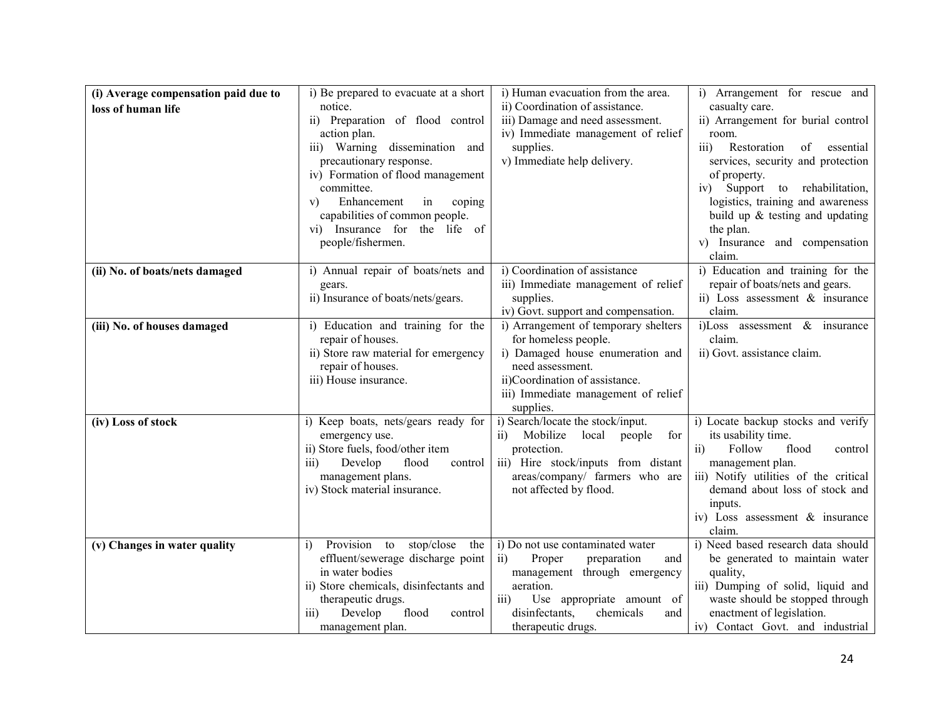| (i) Average compensation paid due to<br>loss of human life | i) Be prepared to evacuate at a short<br>notice.<br>ii) Preparation of flood control<br>action plan.<br>iii) Warning dissemination<br>and<br>precautionary response.<br>iv) Formation of flood management<br>committee.<br>Enhancement<br>in<br>coping<br>V) | i) Human evacuation from the area.<br>ii) Coordination of assistance.<br>iii) Damage and need assessment.<br>iv) Immediate management of relief<br>supplies.<br>v) Immediate help delivery.                                                   | i) Arrangement for rescue and<br>casualty care.<br>ii) Arrangement for burial control<br>room.<br>Restoration<br>of<br>essential<br>$\overline{111}$<br>services, security and protection<br>of property.<br>Support to rehabilitation,<br>iv)<br>logistics, training and awareness |
|------------------------------------------------------------|--------------------------------------------------------------------------------------------------------------------------------------------------------------------------------------------------------------------------------------------------------------|-----------------------------------------------------------------------------------------------------------------------------------------------------------------------------------------------------------------------------------------------|-------------------------------------------------------------------------------------------------------------------------------------------------------------------------------------------------------------------------------------------------------------------------------------|
|                                                            | capabilities of common people.<br>vi) Insurance for the life of<br>people/fishermen.                                                                                                                                                                         |                                                                                                                                                                                                                                               | build up $&$ testing and updating<br>the plan.<br>v) Insurance and compensation<br>claim.                                                                                                                                                                                           |
| (ii) No. of boats/nets damaged                             | i) Annual repair of boats/nets and<br>gears.<br>ii) Insurance of boats/nets/gears.                                                                                                                                                                           | i) Coordination of assistance<br>iii) Immediate management of relief<br>supplies.<br>iv) Govt. support and compensation.                                                                                                                      | i) Education and training for the<br>repair of boats/nets and gears.<br>ii) Loss assessment $\&$ insurance<br>claim.                                                                                                                                                                |
| (iii) No. of houses damaged                                | i) Education and training for the<br>repair of houses.<br>ii) Store raw material for emergency<br>repair of houses.<br>iii) House insurance.                                                                                                                 | i) Arrangement of temporary shelters<br>for homeless people.<br>i) Damaged house enumeration and<br>need assessment.<br>ii)Coordination of assistance.<br>iii) Immediate management of relief<br>supplies.                                    | i)Loss assessment & insurance<br>claim.<br>ii) Govt. assistance claim.                                                                                                                                                                                                              |
| (iv) Loss of stock                                         | i) Keep boats, nets/gears ready for<br>emergency use.<br>ii) Store fuels, food/other item<br>Develop<br>flood<br>control<br>$\overline{111}$<br>management plans.<br>iv) Stock material insurance.                                                           | i) Search/locate the stock/input.<br>Mobilize<br>local<br>people<br>for<br>$\overline{11}$<br>protection.<br>iii) Hire stock/inputs from distant<br>areas/company/ farmers who are<br>not affected by flood.                                  | i) Locate backup stocks and verify<br>its usability time.<br>Follow<br>flood<br>$\overline{11}$<br>control<br>management plan.<br>iii) Notify utilities of the critical<br>demand about loss of stock and<br>inputs.<br>iv) Loss assessment $\&$ insurance<br>claim.                |
| (v) Changes in water quality                               | Provision to<br>stop/close<br>the<br>$\left( i\right)$<br>effluent/sewerage discharge point<br>in water bodies<br>ii) Store chemicals, disinfectants and<br>therapeutic drugs.<br>Develop<br>flood<br>$\overline{111}$<br>control<br>management plan.        | i) Do not use contaminated water<br>Proper<br>preparation<br>$\overline{11}$<br>and<br>management through emergency<br>aeration.<br>Use appropriate amount of<br>$\overline{iii}$<br>disinfectants,<br>chemicals<br>and<br>therapeutic drugs. | i) Need based research data should<br>be generated to maintain water<br>quality,<br>iii) Dumping of solid, liquid and<br>waste should be stopped through<br>enactment of legislation.<br>iv) Contact Govt. and industrial                                                           |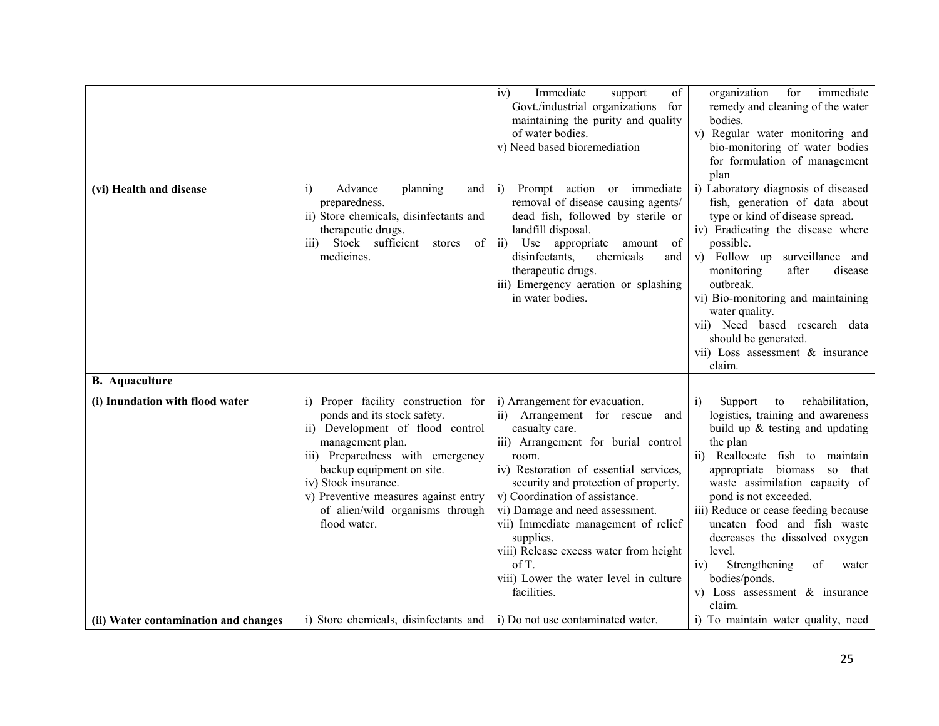|                                      |                                                                                                                                                                                                                                                                                                                | Immediate<br>of<br>iv)<br>support<br>Govt./industrial organizations for<br>maintaining the purity and quality<br>of water bodies.<br>v) Need based bioremediation                                                                                                                                                                                                                                                                                         | for<br>immediate<br>organization<br>remedy and cleaning of the water<br>bodies.<br>v) Regular water monitoring and<br>bio-monitoring of water bodies<br>for formulation of management<br>plan                                                                                                                                                                                                                                                                                               |
|--------------------------------------|----------------------------------------------------------------------------------------------------------------------------------------------------------------------------------------------------------------------------------------------------------------------------------------------------------------|-----------------------------------------------------------------------------------------------------------------------------------------------------------------------------------------------------------------------------------------------------------------------------------------------------------------------------------------------------------------------------------------------------------------------------------------------------------|---------------------------------------------------------------------------------------------------------------------------------------------------------------------------------------------------------------------------------------------------------------------------------------------------------------------------------------------------------------------------------------------------------------------------------------------------------------------------------------------|
| (vi) Health and disease              | Advance<br>planning<br>i)<br>and<br>preparedness.<br>ii) Store chemicals, disinfectants and<br>therapeutic drugs.<br>Stock sufficient stores<br>$\overline{111}$<br>of<br>medicines.                                                                                                                           | Prompt action or immediate<br>$\ddot{1}$<br>removal of disease causing agents/<br>dead fish, followed by sterile or<br>landfill disposal.<br>Use<br>appropriate<br>ii)<br>amount of<br>disinfectants.<br>chemicals<br>and<br>therapeutic drugs.<br>iii) Emergency aeration or splashing<br>in water bodies.                                                                                                                                               | i) Laboratory diagnosis of diseased<br>fish, generation of data about<br>type or kind of disease spread.<br>iv) Eradicating the disease where<br>possible.<br>v) Follow up surveillance and<br>monitoring<br>after<br>disease<br>outbreak.<br>vi) Bio-monitoring and maintaining<br>water quality.<br>vii) Need based research data<br>should be generated.<br>vii) Loss assessment & insurance<br>claim.                                                                                   |
| <b>B.</b> Aquaculture                |                                                                                                                                                                                                                                                                                                                |                                                                                                                                                                                                                                                                                                                                                                                                                                                           |                                                                                                                                                                                                                                                                                                                                                                                                                                                                                             |
| (i) Inundation with flood water      | i) Proper facility construction for<br>ponds and its stock safety.<br>ii) Development of flood control<br>management plan.<br>iii) Preparedness with emergency<br>backup equipment on site.<br>iv) Stock insurance.<br>v) Preventive measures against entry<br>of alien/wild organisms through<br>flood water. | i) Arrangement for evacuation.<br>ii) Arrangement for rescue and<br>casualty care.<br>iii) Arrangement for burial control<br>room.<br>iv) Restoration of essential services,<br>security and protection of property.<br>v) Coordination of assistance.<br>vi) Damage and need assessment.<br>vii) Immediate management of relief<br>supplies.<br>viii) Release excess water from height<br>of T.<br>viii) Lower the water level in culture<br>facilities. | rehabilitation,<br>$\ddot{1}$<br>Support<br>to<br>logistics, training and awareness<br>build up $&$ testing and updating<br>the plan<br>ii) Reallocate fish to maintain<br>appropriate biomass so that<br>waste assimilation capacity of<br>pond is not exceeded.<br>iii) Reduce or cease feeding because<br>uneaten food and fish waste<br>decreases the dissolved oxygen<br>level.<br>Strengthening<br>iv)<br>of<br>water<br>bodies/ponds.<br>v) Loss assessment $\&$ insurance<br>claim. |
| (ii) Water contamination and changes | i) Store chemicals, disinfectants and                                                                                                                                                                                                                                                                          | i) Do not use contaminated water.                                                                                                                                                                                                                                                                                                                                                                                                                         | i) To maintain water quality, need                                                                                                                                                                                                                                                                                                                                                                                                                                                          |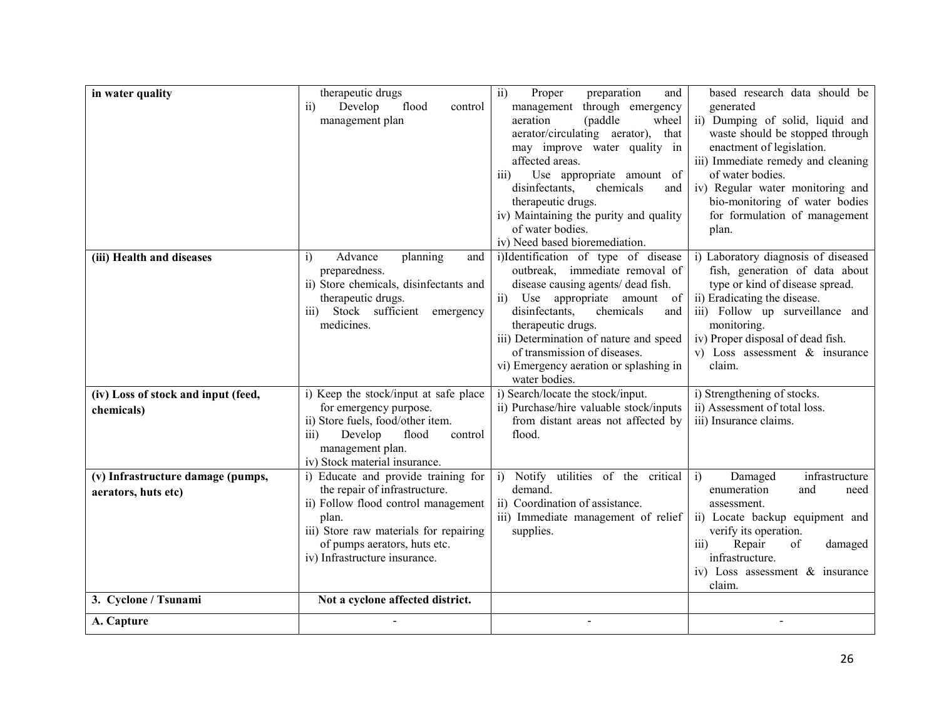| in water quality                    | therapeutic drugs                                                    | $\overline{ii}$<br>Proper<br>preparation<br>and                       | based research data should be                                         |
|-------------------------------------|----------------------------------------------------------------------|-----------------------------------------------------------------------|-----------------------------------------------------------------------|
|                                     | Develop<br>$\overline{ii}$<br>flood<br>control                       | management through emergency                                          | generated                                                             |
|                                     | management plan                                                      | aeration<br>(paddle)<br>wheel                                         | ii) Dumping of solid, liquid and                                      |
|                                     |                                                                      | aerator/circulating aerator), that                                    | waste should be stopped through                                       |
|                                     |                                                                      | may improve water quality in                                          | enactment of legislation.                                             |
|                                     |                                                                      | affected areas.                                                       | iii) Immediate remedy and cleaning                                    |
|                                     |                                                                      | Use appropriate amount of<br>$\overline{111}$                         | of water bodies.                                                      |
|                                     |                                                                      | disinfectants,<br>chemicals<br>and                                    | iv) Regular water monitoring and                                      |
|                                     |                                                                      | therapeutic drugs.                                                    | bio-monitoring of water bodies                                        |
|                                     |                                                                      | iv) Maintaining the purity and quality                                | for formulation of management                                         |
|                                     |                                                                      | of water bodies.                                                      | plan.                                                                 |
|                                     |                                                                      | iv) Need based bioremediation.                                        |                                                                       |
| (iii) Health and diseases           | i)<br>Advance<br>planning<br>and<br>preparedness.                    | i)Identification of type of disease<br>outbreak, immediate removal of | i) Laboratory diagnosis of diseased<br>fish, generation of data about |
|                                     | ii) Store chemicals, disinfectants and                               | disease causing agents/ dead fish.                                    | type or kind of disease spread.                                       |
|                                     | therapeutic drugs.                                                   | appropriate amount of<br>ii)<br>Use                                   | ii) Eradicating the disease.                                          |
|                                     | Stock sufficient emergency<br>$\overline{iii}$                       | disinfectants,<br>chemicals<br>and                                    | iii) Follow up surveillance and                                       |
|                                     | medicines.                                                           | therapeutic drugs.                                                    | monitoring.                                                           |
|                                     |                                                                      | iii) Determination of nature and speed                                | iv) Proper disposal of dead fish.                                     |
|                                     |                                                                      | of transmission of diseases.                                          | v) Loss assessment $\&$ insurance                                     |
|                                     |                                                                      | vi) Emergency aeration or splashing in                                | claim.                                                                |
|                                     |                                                                      | water bodies.                                                         |                                                                       |
| (iv) Loss of stock and input (feed, | i) Keep the stock/input at safe place                                | i) Search/locate the stock/input.                                     | i) Strengthening of stocks.                                           |
| chemicals)                          | for emergency purpose.                                               | ii) Purchase/hire valuable stock/inputs                               | ii) Assessment of total loss.                                         |
|                                     | ii) Store fuels, food/other item.                                    | from distant areas not affected by                                    | iii) Insurance claims.                                                |
|                                     | iii)<br>Develop<br>flood<br>control                                  | flood.                                                                |                                                                       |
|                                     | management plan.                                                     |                                                                       |                                                                       |
|                                     | iv) Stock material insurance.                                        |                                                                       |                                                                       |
| (v) Infrastructure damage (pumps,   | i) Educate and provide training for                                  | Notify utilities of the critical<br>i)<br>demand.                     | Damaged<br>infrastructure<br>i)                                       |
| aerators, huts etc)                 | the repair of infrastructure.<br>ii) Follow flood control management | ii) Coordination of assistance.                                       | enumeration<br>and<br>need<br>assessment.                             |
|                                     | plan.                                                                | iii) Immediate management of relief                                   | ii) Locate backup equipment and                                       |
|                                     | iii) Store raw materials for repairing                               | supplies.                                                             | verify its operation.                                                 |
|                                     | of pumps aerators, huts etc.                                         |                                                                       | Repair<br>of<br>$\overline{iii}$<br>damaged                           |
|                                     | iv) Infrastructure insurance.                                        |                                                                       | infrastructure.                                                       |
|                                     |                                                                      |                                                                       | iv) Loss assessment $\&$ insurance                                    |
|                                     |                                                                      |                                                                       | claim.                                                                |
| 3. Cyclone / Tsunami                | Not a cyclone affected district.                                     |                                                                       |                                                                       |
| A. Capture                          |                                                                      |                                                                       |                                                                       |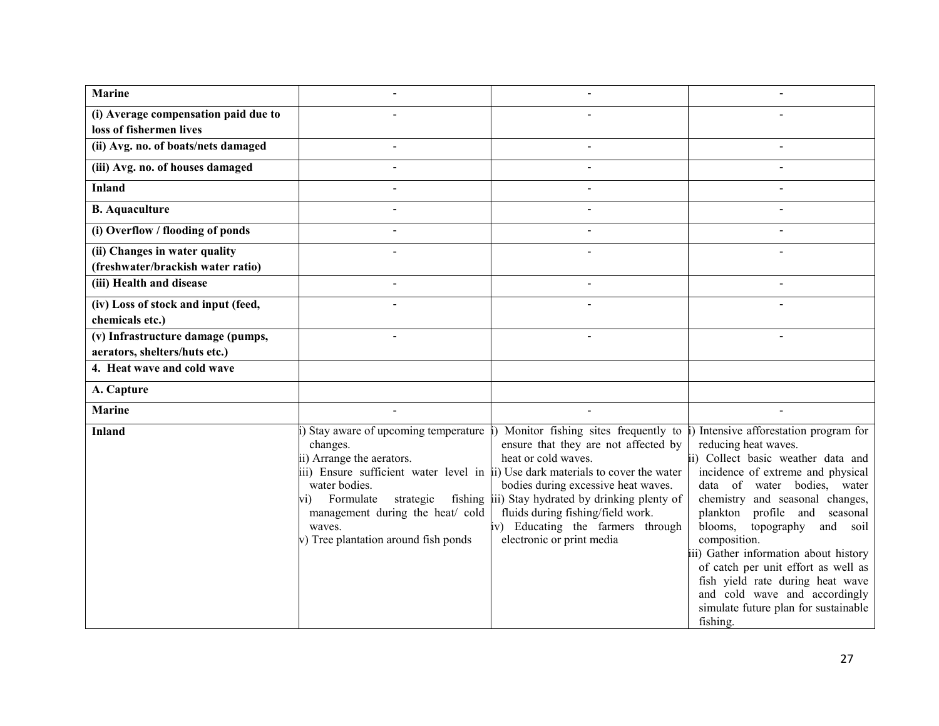| <b>Marine</b>                        |                                                                                                                                                                                                                      |                                                                                                                                                                                                                                                                                                                                                                                         |                                                                                                                                                                                                                                                                                                                                                                                                                                                                                                      |
|--------------------------------------|----------------------------------------------------------------------------------------------------------------------------------------------------------------------------------------------------------------------|-----------------------------------------------------------------------------------------------------------------------------------------------------------------------------------------------------------------------------------------------------------------------------------------------------------------------------------------------------------------------------------------|------------------------------------------------------------------------------------------------------------------------------------------------------------------------------------------------------------------------------------------------------------------------------------------------------------------------------------------------------------------------------------------------------------------------------------------------------------------------------------------------------|
| (i) Average compensation paid due to |                                                                                                                                                                                                                      |                                                                                                                                                                                                                                                                                                                                                                                         |                                                                                                                                                                                                                                                                                                                                                                                                                                                                                                      |
| loss of fishermen lives              |                                                                                                                                                                                                                      |                                                                                                                                                                                                                                                                                                                                                                                         |                                                                                                                                                                                                                                                                                                                                                                                                                                                                                                      |
| (ii) Avg. no. of boats/nets damaged  | $\blacksquare$                                                                                                                                                                                                       | $\sim$                                                                                                                                                                                                                                                                                                                                                                                  | $\overline{a}$                                                                                                                                                                                                                                                                                                                                                                                                                                                                                       |
| (iii) Avg. no. of houses damaged     |                                                                                                                                                                                                                      |                                                                                                                                                                                                                                                                                                                                                                                         |                                                                                                                                                                                                                                                                                                                                                                                                                                                                                                      |
| Inland                               | $\overline{\phantom{a}}$                                                                                                                                                                                             |                                                                                                                                                                                                                                                                                                                                                                                         |                                                                                                                                                                                                                                                                                                                                                                                                                                                                                                      |
| <b>B.</b> Aquaculture                |                                                                                                                                                                                                                      |                                                                                                                                                                                                                                                                                                                                                                                         |                                                                                                                                                                                                                                                                                                                                                                                                                                                                                                      |
| (i) Overflow / flooding of ponds     |                                                                                                                                                                                                                      |                                                                                                                                                                                                                                                                                                                                                                                         |                                                                                                                                                                                                                                                                                                                                                                                                                                                                                                      |
| (ii) Changes in water quality        |                                                                                                                                                                                                                      |                                                                                                                                                                                                                                                                                                                                                                                         |                                                                                                                                                                                                                                                                                                                                                                                                                                                                                                      |
| (freshwater/brackish water ratio)    |                                                                                                                                                                                                                      |                                                                                                                                                                                                                                                                                                                                                                                         |                                                                                                                                                                                                                                                                                                                                                                                                                                                                                                      |
| (iii) Health and disease             | $\blacksquare$                                                                                                                                                                                                       |                                                                                                                                                                                                                                                                                                                                                                                         |                                                                                                                                                                                                                                                                                                                                                                                                                                                                                                      |
| (iv) Loss of stock and input (feed,  |                                                                                                                                                                                                                      |                                                                                                                                                                                                                                                                                                                                                                                         |                                                                                                                                                                                                                                                                                                                                                                                                                                                                                                      |
| chemicals etc.)                      |                                                                                                                                                                                                                      |                                                                                                                                                                                                                                                                                                                                                                                         |                                                                                                                                                                                                                                                                                                                                                                                                                                                                                                      |
| (v) Infrastructure damage (pumps,    |                                                                                                                                                                                                                      |                                                                                                                                                                                                                                                                                                                                                                                         |                                                                                                                                                                                                                                                                                                                                                                                                                                                                                                      |
| aerators, shelters/huts etc.)        |                                                                                                                                                                                                                      |                                                                                                                                                                                                                                                                                                                                                                                         |                                                                                                                                                                                                                                                                                                                                                                                                                                                                                                      |
| 4. Heat wave and cold wave           |                                                                                                                                                                                                                      |                                                                                                                                                                                                                                                                                                                                                                                         |                                                                                                                                                                                                                                                                                                                                                                                                                                                                                                      |
| A. Capture                           |                                                                                                                                                                                                                      |                                                                                                                                                                                                                                                                                                                                                                                         |                                                                                                                                                                                                                                                                                                                                                                                                                                                                                                      |
| <b>Marine</b>                        |                                                                                                                                                                                                                      |                                                                                                                                                                                                                                                                                                                                                                                         |                                                                                                                                                                                                                                                                                                                                                                                                                                                                                                      |
| <b>Inland</b>                        | Stay aware of upcoming temperature<br>changes.<br>ii) Arrange the aerators.<br>water bodies.<br>Formulate<br>strategic<br>vi).<br>management during the heat/ cold<br>waves.<br>v) Tree plantation around fish ponds | Monitor fishing sites frequently to<br>ensure that they are not affected by<br>heat or cold waves.<br>iii) Ensure sufficient water level in ii) Use dark materials to cover the water<br>bodies during excessive heat waves.<br>fishing iii) Stay hydrated by drinking plenty of<br>fluids during fishing/field work.<br>iv) Educating the farmers through<br>electronic or print media | Intensive afforestation program for<br>reducing heat waves.<br>ii) Collect basic weather data and<br>incidence of extreme and physical<br>data of water bodies, water<br>chemistry and seasonal changes,<br>plankton profile and seasonal<br>blooms, topography<br>and soil<br>composition.<br>iii) Gather information about history<br>of catch per unit effort as well as<br>fish yield rate during heat wave<br>and cold wave and accordingly<br>simulate future plan for sustainable<br>fishing. |